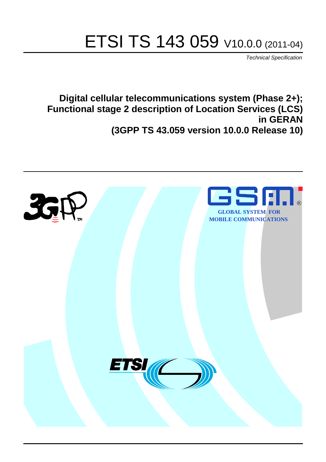# ETSI TS 143 059 V10.0.0 (2011-04)

*Technical Specification*

**Digital cellular telecommunications system (Phase 2+); Functional stage 2 description of Location Services (LCS) in GERAN (3GPP TS 43.059 version 10.0.0 Release 10)**

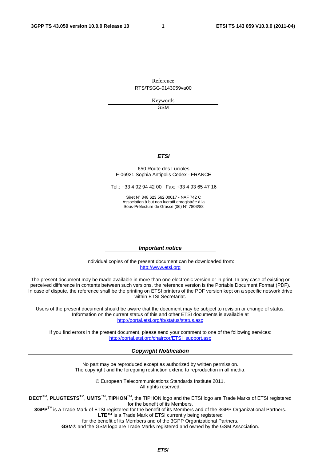Reference RTS/TSGG-0143059va00

> Keywords GSM

#### *ETSI*

#### 650 Route des Lucioles F-06921 Sophia Antipolis Cedex - FRANCE

Tel.: +33 4 92 94 42 00 Fax: +33 4 93 65 47 16

Siret N° 348 623 562 00017 - NAF 742 C Association à but non lucratif enregistrée à la Sous-Préfecture de Grasse (06) N° 7803/88

#### *Important notice*

Individual copies of the present document can be downloaded from: [http://www.etsi.org](http://www.etsi.org/)

The present document may be made available in more than one electronic version or in print. In any case of existing or perceived difference in contents between such versions, the reference version is the Portable Document Format (PDF). In case of dispute, the reference shall be the printing on ETSI printers of the PDF version kept on a specific network drive within ETSI Secretariat.

Users of the present document should be aware that the document may be subject to revision or change of status. Information on the current status of this and other ETSI documents is available at <http://portal.etsi.org/tb/status/status.asp>

If you find errors in the present document, please send your comment to one of the following services: [http://portal.etsi.org/chaircor/ETSI\\_support.asp](http://portal.etsi.org/chaircor/ETSI_support.asp)

#### *Copyright Notification*

No part may be reproduced except as authorized by written permission. The copyright and the foregoing restriction extend to reproduction in all media.

> © European Telecommunications Standards Institute 2011. All rights reserved.

**DECT**TM, **PLUGTESTS**TM, **UMTS**TM, **TIPHON**TM, the TIPHON logo and the ETSI logo are Trade Marks of ETSI registered for the benefit of its Members.

**3GPP**TM is a Trade Mark of ETSI registered for the benefit of its Members and of the 3GPP Organizational Partners. **LTE**™ is a Trade Mark of ETSI currently being registered

for the benefit of its Members and of the 3GPP Organizational Partners.

**GSM**® and the GSM logo are Trade Marks registered and owned by the GSM Association.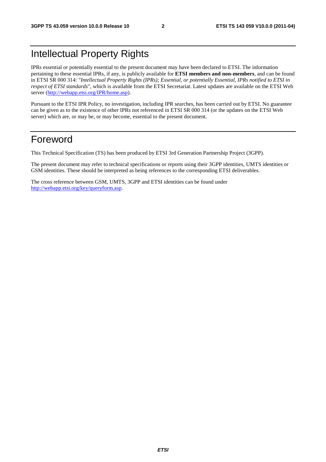# Intellectual Property Rights

IPRs essential or potentially essential to the present document may have been declared to ETSI. The information pertaining to these essential IPRs, if any, is publicly available for **ETSI members and non-members**, and can be found in ETSI SR 000 314: *"Intellectual Property Rights (IPRs); Essential, or potentially Essential, IPRs notified to ETSI in respect of ETSI standards"*, which is available from the ETSI Secretariat. Latest updates are available on the ETSI Web server [\(http://webapp.etsi.org/IPR/home.asp\)](http://webapp.etsi.org/IPR/home.asp).

Pursuant to the ETSI IPR Policy, no investigation, including IPR searches, has been carried out by ETSI. No guarantee can be given as to the existence of other IPRs not referenced in ETSI SR 000 314 (or the updates on the ETSI Web server) which are, or may be, or may become, essential to the present document.

# Foreword

This Technical Specification (TS) has been produced by ETSI 3rd Generation Partnership Project (3GPP).

The present document may refer to technical specifications or reports using their 3GPP identities, UMTS identities or GSM identities. These should be interpreted as being references to the corresponding ETSI deliverables.

The cross reference between GSM, UMTS, 3GPP and ETSI identities can be found under [http://webapp.etsi.org/key/queryform.asp.](http://webapp.etsi.org/key/queryform.asp)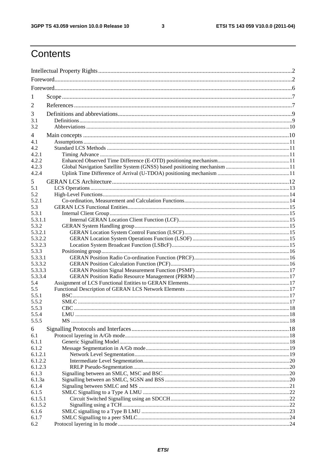$\mathbf{3}$ 

# Contents

| 1       |  |
|---------|--|
|         |  |
| 2       |  |
| 3       |  |
| 3.1     |  |
| 3.2     |  |
| 4       |  |
| 4.1     |  |
| 4.2     |  |
| 4.2.1   |  |
| 4.2.2   |  |
| 4.2.3   |  |
| 4.2.4   |  |
| 5       |  |
| 5.1     |  |
| 5.2     |  |
| 5.2.1   |  |
| 5.3     |  |
| 5.3.1   |  |
| 5.3.1.1 |  |
| 5.3.2   |  |
| 5.3.2.1 |  |
| 5.3.2.2 |  |
| 5.3.2.3 |  |
| 5.3.3   |  |
| 5.3.3.1 |  |
| 5.3.3.2 |  |
| 5.3.3.3 |  |
| 5.3.3.4 |  |
| 5.4     |  |
| 5.5     |  |
| 5.5.1   |  |
| 5.5.2   |  |
| 5.5.3   |  |
| 5.5.4   |  |
| 5.5.5   |  |
| 6       |  |
| 6.1     |  |
| 6.1.1   |  |
| 6.1.2   |  |
| 6.1.2.1 |  |
| 6.1.2.2 |  |
| 6.1.2.3 |  |
| 6.1.3   |  |
| 6.1.3a  |  |
| 6.1.4   |  |
| 6.1.5   |  |
| 6.1.5.1 |  |
| 6.1.5.2 |  |
| 6.1.6   |  |
| 6.1.7   |  |
| 6.2     |  |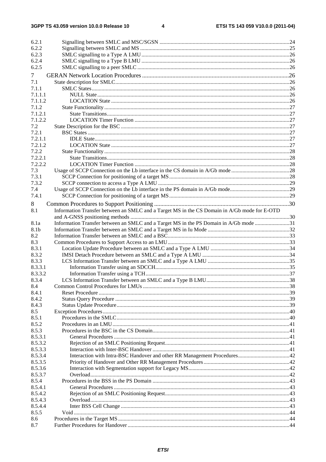$\overline{\mathbf{4}}$ 

| 6.2.1            |                                                                                              |  |
|------------------|----------------------------------------------------------------------------------------------|--|
| 6.2.2            |                                                                                              |  |
|                  |                                                                                              |  |
| 6.2.3            |                                                                                              |  |
| 6.2.4            |                                                                                              |  |
| 6.2.5            |                                                                                              |  |
| 7                |                                                                                              |  |
| 7.1              |                                                                                              |  |
| 7.1.1            |                                                                                              |  |
| 7.1.1.1          |                                                                                              |  |
| 7.1.1.2          |                                                                                              |  |
| 7.1.2            |                                                                                              |  |
| 7.1.2.1          |                                                                                              |  |
| 7.1.2.2          |                                                                                              |  |
| 7.2              |                                                                                              |  |
| 7.2.1            |                                                                                              |  |
| 7.2.1.1          |                                                                                              |  |
| 7.2.1.2          |                                                                                              |  |
| 7.2.2            |                                                                                              |  |
| 7.2.2.1          |                                                                                              |  |
| 7.2.2.2          |                                                                                              |  |
| 7.3              |                                                                                              |  |
| 7.3.1            |                                                                                              |  |
|                  |                                                                                              |  |
| 7.3.2            |                                                                                              |  |
| 7.4              |                                                                                              |  |
| 7.4.1            |                                                                                              |  |
| 8                |                                                                                              |  |
| 8.1              | Information Transfer between an SMLC and a Target MS in the CS Domain in A/Gb mode for E-OTD |  |
|                  |                                                                                              |  |
| 8.1a             | Information Transfer between an SMLC and a Target MS in the PS Domain in A/Gb mode 31        |  |
| 8.1b             |                                                                                              |  |
| 8.2              |                                                                                              |  |
| 8.3              |                                                                                              |  |
| 8.3.1            |                                                                                              |  |
| 8.3.2            |                                                                                              |  |
| 8.3.3            |                                                                                              |  |
| 8.3.3.1          |                                                                                              |  |
| 8.3.3.2          |                                                                                              |  |
| 8.3.4            |                                                                                              |  |
| 8.4              |                                                                                              |  |
| 8.4.1            |                                                                                              |  |
| 8.4.2            |                                                                                              |  |
| 8.4.3            |                                                                                              |  |
| 8.5              |                                                                                              |  |
| 8.5.1            |                                                                                              |  |
| 8.5.2            |                                                                                              |  |
|                  |                                                                                              |  |
| 8.5.3<br>8.5.3.1 |                                                                                              |  |
|                  |                                                                                              |  |
| 8.5.3.2          |                                                                                              |  |
| 8.5.3.3          |                                                                                              |  |
| 8.5.3.4          |                                                                                              |  |
| 8.5.3.5          |                                                                                              |  |
| 8.5.3.6          |                                                                                              |  |
| 8.5.3.7          |                                                                                              |  |
| 8.5.4            |                                                                                              |  |
| 8.5.4.1          |                                                                                              |  |
| 8.5.4.2          |                                                                                              |  |
| 8.5.4.3          |                                                                                              |  |
| 8.5.4.4          |                                                                                              |  |
| 8.5.5            |                                                                                              |  |
| 8.6              |                                                                                              |  |
| 8.7              |                                                                                              |  |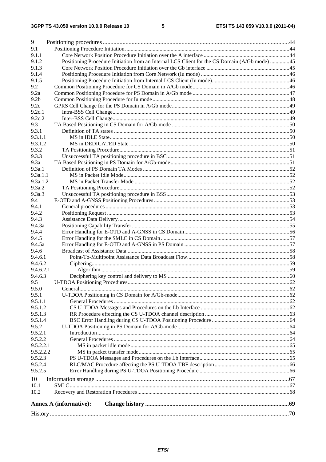| 9                      |                                                                                               |  |
|------------------------|-----------------------------------------------------------------------------------------------|--|
| 9.1                    |                                                                                               |  |
| 9.1.1                  |                                                                                               |  |
| 9.1.2                  | Positioning Procedure Initiation from an Internal LCS Client for the CS Domain (A/Gb mode) 45 |  |
| 9.1.3                  |                                                                                               |  |
| 9.1.4                  |                                                                                               |  |
| 9.1.5                  |                                                                                               |  |
| 9.2                    |                                                                                               |  |
| 9.2a                   |                                                                                               |  |
| 9.2 <sub>b</sub>       |                                                                                               |  |
| 9.2c                   |                                                                                               |  |
| 9.2c.1                 |                                                                                               |  |
| 9.2c.2                 |                                                                                               |  |
| 9.3                    |                                                                                               |  |
| 9.3.1                  |                                                                                               |  |
| 9.3.1.1                |                                                                                               |  |
| 9.3.1.2                |                                                                                               |  |
| 9.3.2                  |                                                                                               |  |
| 9.3.3                  |                                                                                               |  |
| 9.3a                   |                                                                                               |  |
| 9.3a.1                 |                                                                                               |  |
| 9.3a.1.1               |                                                                                               |  |
| 9.3a.1.2               |                                                                                               |  |
| 9.3a.2                 |                                                                                               |  |
| 9.3a.3                 |                                                                                               |  |
| 9.4                    |                                                                                               |  |
| 9.4.1                  |                                                                                               |  |
| 9.4.2                  |                                                                                               |  |
| 9.4.3                  |                                                                                               |  |
| 9.4.3a                 |                                                                                               |  |
| 9.4.4                  |                                                                                               |  |
| 9.4.5                  |                                                                                               |  |
| 9.4.5a                 |                                                                                               |  |
| 9.4.6                  |                                                                                               |  |
| 9.4.6.1                |                                                                                               |  |
| 9.4.6.2                |                                                                                               |  |
| 9.4.6.2.1              |                                                                                               |  |
| 9.4.6.3                |                                                                                               |  |
| 9.5                    | U-TDOA Positioning Procedures.                                                                |  |
| 9.5.0                  |                                                                                               |  |
| 9.5.1                  |                                                                                               |  |
| 9.5.1.1                |                                                                                               |  |
| 9.5.1.2                |                                                                                               |  |
| 9.5.1.3                |                                                                                               |  |
| 9.5.1.4                |                                                                                               |  |
| 9.5.2                  |                                                                                               |  |
| 9.5.2.1                |                                                                                               |  |
| 9.5.2.2                |                                                                                               |  |
| 9.5.2.2.1<br>9.5.2.2.2 |                                                                                               |  |
| 9.5.2.3                |                                                                                               |  |
| 9.5.2.4                |                                                                                               |  |
| 9.5.2.5                |                                                                                               |  |
|                        |                                                                                               |  |
| 10                     |                                                                                               |  |
| 10.1                   |                                                                                               |  |
| 10.2                   |                                                                                               |  |
|                        | <b>Annex A (informative):</b>                                                                 |  |
|                        |                                                                                               |  |
|                        |                                                                                               |  |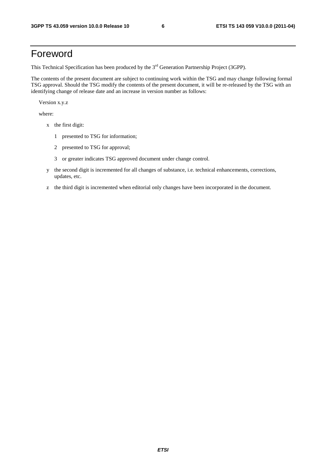# Foreword

This Technical Specification has been produced by the 3<sup>rd</sup> Generation Partnership Project (3GPP).

The contents of the present document are subject to continuing work within the TSG and may change following formal TSG approval. Should the TSG modify the contents of the present document, it will be re-released by the TSG with an identifying change of release date and an increase in version number as follows:

Version x.y.z

where:

- x the first digit:
	- 1 presented to TSG for information;
	- 2 presented to TSG for approval;
	- 3 or greater indicates TSG approved document under change control.
- y the second digit is incremented for all changes of substance, i.e. technical enhancements, corrections, updates, etc.
- z the third digit is incremented when editorial only changes have been incorporated in the document.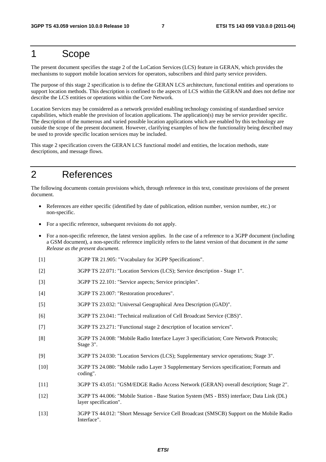# 1 Scope

The present document specifies the stage 2 of the LoCation Services (LCS) feature in GERAN, which provides the mechanisms to support mobile location services for operators, subscribers and third party service providers.

The purpose of this stage 2 specification is to define the GERAN LCS architecture, functional entities and operations to support location methods. This description is confined to the aspects of LCS within the GERAN and does not define nor describe the LCS entities or operations within the Core Network.

Location Services may be considered as a network provided enabling technology consisting of standardised service capabilities, which enable the provision of location applications. The application(s) may be service provider specific. The description of the numerous and varied possible location applications which are enabled by this technology are outside the scope of the present document. However, clarifying examples of how the functionality being described may be used to provide specific location services may be included.

This stage 2 specification covers the GERAN LCS functional model and entities, the location methods, state descriptions, and message flows.

# 2 References

The following documents contain provisions which, through reference in this text, constitute provisions of the present document.

- References are either specific (identified by date of publication, edition number, version number, etc.) or non-specific.
- For a specific reference, subsequent revisions do not apply.
- For a non-specific reference, the latest version applies. In the case of a reference to a 3GPP document (including a GSM document), a non-specific reference implicitly refers to the latest version of that document *in the same Release as the present document*.
- [1] 3GPP TR 21.905: "Vocabulary for 3GPP Specifications".
- [2] 3GPP TS 22.071: "Location Services (LCS); Service description Stage 1".
- [3] 3GPP TS 22.101: "Service aspects; Service principles".
- [4] 3GPP TS 23.007: "Restoration procedures".
- [5] 3GPP TS 23.032: "Universal Geographical Area Description (GAD)".
- [6] 3GPP TS 23.041: "Technical realization of Cell Broadcast Service (CBS)".
- [7] 3GPP TS 23.271: "Functional stage 2 description of location services".
- [8] 3GPP TS 24.008: "Mobile Radio Interface Layer 3 specificiation; Core Network Protocols; Stage 3".
- [9] 3GPP TS 24.030: "Location Services (LCS); Supplementary service operations; Stage 3".
- [10] 3GPP TS 24.080: "Mobile radio Layer 3 Supplementary Services specification; Formats and coding".
- [11] 3GPP TS 43.051: "GSM/EDGE Radio Access Network (GERAN) overall description; Stage 2".
- [12] 3GPP TS 44.006: "Mobile Station Base Station System (MS BSS) interface; Data Link (DL) layer specification".
- [13] 3GPP TS 44.012: "Short Message Service Cell Broadcast (SMSCB) Support on the Mobile Radio Interface".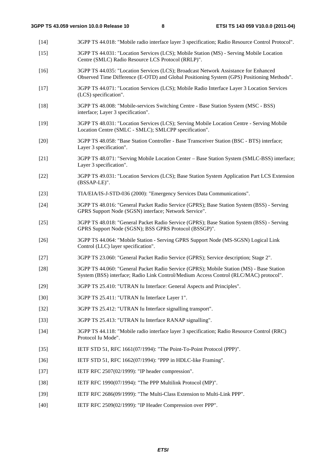[14] 3GPP TS 44.018: "Mobile radio interface layer 3 specification; Radio Resource Control Protocol". [15] 3GPP TS 44.031: "Location Services (LCS); Mobile Station (MS) - Serving Mobile Location Centre (SMLC) Radio Resource LCS Protocol (RRLP)". [16] 3GPP TS 44.035: "Location Services (LCS); Broadcast Network Assistance for Enhanced Observed Time Difference (E-OTD) and Global Positioning System (GPS) Positioning Methods". [17] 3GPP TS 44.071: "Location Services (LCS); Mobile Radio Interface Layer 3 Location Services (LCS) specification". [18] 3GPP TS 48.008: "Mobile-services Switching Centre - Base Station System (MSC - BSS) interface; Layer 3 specification". [19] 3GPP TS 48.031: "Location Services (LCS); Serving Mobile Location Centre - Serving Mobile Location Centre (SMLC - SMLC); SMLCPP specification". [20] 3GPP TS 48.058: "Base Station Controller - Base Transceiver Station (BSC - BTS) interface; Layer 3 specification". [21] 3GPP TS 48.071: "Serving Mobile Location Center – Base Station System (SMLC-BSS) interface; Layer 3 specification". [22] 3GPP TS 49.031: "Location Services (LCS); Base Station System Application Part LCS Extension (BSSAP-LE)". [23] TIA/EIA/IS-J-STD-036 (2000): "Emergency Services Data Communications". [24] 3GPP TS 48.016: "General Packet Radio Service (GPRS); Base Station System (BSS) - Serving GPRS Support Node (SGSN) interface; Network Service". [25] 3GPP TS 48.018: "General Packet Radio Service (GPRS); Base Station System (BSS) - Serving GPRS Support Node (SGSN); BSS GPRS Protocol (BSSGP)". [26] 3GPP TS 44.064: "Mobile Station - Serving GPRS Support Node (MS-SGSN) Logical Link Control (LLC) layer specification". [27] 3GPP TS 23.060: "General Packet Radio Service (GPRS); Service description; Stage 2". [28] 3GPP TS 44.060: "General Packet Radio Service (GPRS); Mobile Station (MS) - Base Station System (BSS) interface; Radio Link Control/Medium Access Control (RLC/MAC) protocol". [29] 3GPP TS 25.410: "UTRAN Iu Interface: General Aspects and Principles". [30] 3GPP TS 25.411: "UTRAN Iu Interface Layer 1". [32] 3GPP TS 25.412: "UTRAN Iu Interface signalling transport". [33] 3GPP TS 25.413: "UTRAN Iu Interface RANAP signalling". [34] 3GPP TS 44.118: "Mobile radio interface layer 3 specification; Radio Resource Control (RRC) Protocol Iu Mode". [35] IETF STD 51, RFC 1661(07/1994): "The Point-To-Point Protocol (PPP)". [36] IETF STD 51, RFC 1662(07/1994): "PPP in HDLC-like Framing". [37] IETF RFC 2507(02/1999): "IP header compression". [38] IETF RFC 1990(07/1994): "The PPP Multilink Protocol (MP)". [39] IETF RFC 2686(09/1999): "The Multi-Class Extension to Multi-Link PPP". [40] IETF RFC 2509(02/1999): "IP Header Compression over PPP".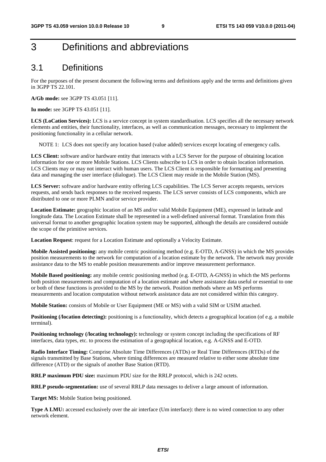# 3 Definitions and abbreviations

# 3.1 Definitions

For the purposes of the present document the following terms and definitions apply and the terms and definitions given in 3GPP TS 22.101.

**A/Gb mode:** see 3GPP TS 43.051 [11].

**Iu mode:** see 3GPP TS 43.051 [11].

**LCS (LoCation Services):** LCS is a service concept in system standardisation. LCS specifies all the necessary network elements and entities, their functionality, interfaces, as well as communication messages, necessary to implement the positioning functionality in a cellular network.

NOTE 1: LCS does not specify any location based (value added) services except locating of emergency calls.

**LCS Client:** software and/or hardware entity that interacts with a LCS Server for the purpose of obtaining location information for one or more Mobile Stations. LCS Clients subscribe to LCS in order to obtain location information. LCS Clients may or may not interact with human users. The LCS Client is responsible for formatting and presenting data and managing the user interface (dialogue). The LCS Client may reside in the Mobile Station (MS).

**LCS Server:** software and/or hardware entity offering LCS capabilities. The LCS Server accepts requests, services requests, and sends back responses to the received requests. The LCS server consists of LCS components, which are distributed to one or more PLMN and/or service provider.

**Location Estimate:** geographic location of an MS and/or valid Mobile Equipment (ME), expressed in latitude and longitude data. The Location Estimate shall be represented in a well-defined universal format. Translation from this universal format to another geographic location system may be supported, although the details are considered outside the scope of the primitive services.

**Location Request:** request for a Location Estimate and optionally a Velocity Estimate.

**Mobile Assisted positioning:** any mobile centric positioning method (e.g. E-OTD, A-GNSS) in which the MS provides position measurements to the network for computation of a location estimate by the network. The network may provide assistance data to the MS to enable position measurements and/or improve measurement performance.

**Mobile Based positioning:** any mobile centric positioning method (e.g. E-OTD, A-GNSS) in which the MS performs both position measurements and computation of a location estimate and where assistance data useful or essential to one or both of these functions is provided to the MS by the network. Position methods where an MS performs measurements and location computation without network assistance data are not considered within this category.

**Mobile Station:** consists of Mobile or User Equipment (ME or MS) with a valid SIM or USIM attached.

**Positioning (/location detecting):** positioning is a functionality, which detects a geographical location (of e.g. a mobile terminal).

**Positioning technology (/locating technology):** technology or system concept including the specifications of RF interfaces, data types, etc. to process the estimation of a geographical location, e.g. A-GNSS and E-OTD.

**Radio Interface Timing:** Comprise Absolute Time Differences (ATDs) or Real Time Differences (RTDs) of the signals transmitted by Base Stations, where timing differences are measured relative to either some absolute time difference (ATD) or the signals of another Base Station (RTD).

**RRLP maximum PDU size:** maximum PDU size for the RRLP protocol, which is 242 octets.

**RRLP pseudo-segmentation:** use of several RRLP data messages to deliver a large amount of information.

**Target MS:** Mobile Station being positioned.

**Type A LMU:** accessed exclusively over the air interface (Um interface): there is no wired connection to any other network element.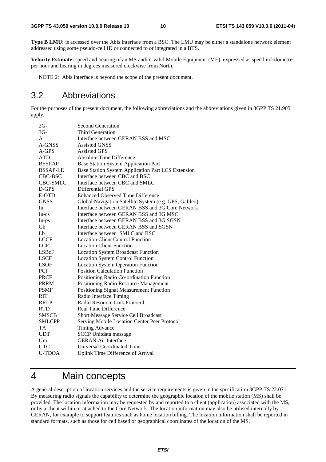**Type B LMU:** is accessed over the Abis interface from a BSC. The LMU may be either a standalone network element addressed using some pseudo-cell ID or connected to or integrated in a BTS.

**Velocity Estimate:** speed and bearing of an MS and/or valid Mobile Equipment (ME), expressed as speed in kilometres per hour and bearing in degrees measured clockwise from North.

NOTE 2: Abis interface is beyond the scope of the present document.

# 3.2 Abbreviations

For the purposes of the present document, the following abbreviations and the abbreviations given in 3GPP TS 21.905 apply.

| $2G-$           | <b>Second Generation</b>                               |
|-----------------|--------------------------------------------------------|
| $3G-$           | <b>Third Generation</b>                                |
| A               | Interface between GERAN BSS and MSC                    |
| A-GNSS          | <b>Assisted GNSS</b>                                   |
| A-GPS           | <b>Assisted GPS</b>                                    |
| <b>ATD</b>      | <b>Absolute Time Difference</b>                        |
| <b>BSSLAP</b>   | <b>Base Station System Application Part</b>            |
| <b>BSSAP-LE</b> | Base Station System Application Part LCS Extension     |
| CBC-BSC         | Interface between CBC and BSC                          |
| <b>CBC-SMLC</b> | Interface between CBC and SMLC                         |
| D-GPS           | <b>Differential GPS</b>                                |
| E-OTD           | <b>Enhanced Observed Time Difference</b>               |
| <b>GNSS</b>     | Global Navigation Satellite System (e.g. GPS, Galileo) |
| Iu              | Interface between GERAN BSS and 3G Core Network        |
| $Iu-cs$         | Interface between GERAN BSS and 3G MSC                 |
| Iu-ps           | Interface between GERAN BSS and 3G SGSN                |
| Gb              | Interface between GERAN BSS and SGSN                   |
| L <sub>b</sub>  | Interface between SMLC and BSC                         |
| <b>LCCF</b>     | <b>Location Client Control Function</b>                |
| LCF             | <b>Location Client Function</b>                        |
| LSBcF           | <b>Location System Broadcast Function</b>              |
| <b>LSCF</b>     | <b>Location System Control Function</b>                |
| <b>LSOF</b>     | <b>Location System Operation Function</b>              |
| PCF             | <b>Position Calculation Function</b>                   |
| <b>PRCF</b>     | Positioning Radio Co-ordination Function               |
| <b>PRRM</b>     | Positioning Radio Resource Management                  |
| <b>PSMF</b>     | Positioning Signal Measurement Function                |
| <b>RIT</b>      | Radio Interface Timing                                 |
| <b>RRLP</b>     | Radio Resource Link Protocol                           |
| <b>RTD</b>      | <b>Real Time Difference</b>                            |
| <b>SMSCB</b>    | Short Message Service Cell Broadcast                   |
| <b>SMLCPP</b>   | Serving Mobile Location Center Peer Protocol           |
| <b>TA</b>       | <b>Timing Advance</b>                                  |
| <b>UDT</b>      | <b>SCCP</b> Unitdata message                           |
| Um              | <b>GERAN Air Interface</b>                             |
| <b>UTC</b>      | Universal Coordinated Time                             |
| <b>U-TDOA</b>   | <b>Uplink Time Difference of Arrival</b>               |

# 4 Main concepts

A general description of location services and the service requirements is given in the specification 3GPP TS 22.071. By measuring radio signals the capability to determine the geographic location of the mobile station (MS) shall be provided. The location information may be requested by and reported to a client (application) associated with the MS, or by a client within or attached to the Core Network. The location information may also be utilised internally by GERAN, for example to support features such as home location billing. The location information shall be reported in standard formats, such as those for cell based or geographical coordinates of the location of the MS.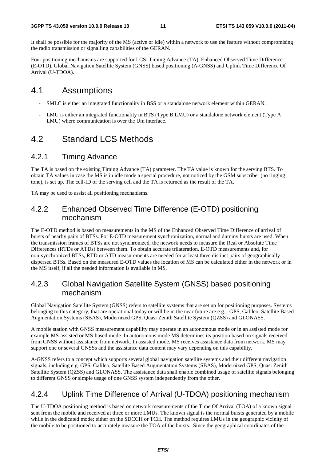It shall be possible for the majority of the MS (active or idle) within a network to use the feature without compromising the radio transmission or signalling capabilities of the GERAN.

Four positioning mechanisms are supported for LCS: Timing Advance (TA), Enhanced Observed Time Difference (E-OTD), Global Navigation Satellite System (GNSS) based positioning (A-GNSS) and Uplink Time Difference Of Arrival (U-TDOA).

# 4.1 Assumptions

- SMLC is either an integrated functionality in BSS or a standalone network element within GERAN.
- LMU is either an integrated functionality in BTS (Type B LMU) or a standalone network element (Type A LMU) where communication is over the Um interface.

# 4.2 Standard LCS Methods

### 4.2.1 Timing Advance

The TA is based on the existing Timing Advance (TA) parameter. The TA value is known for the serving BTS. To obtain TA values in case the MS is in idle mode a special procedure, not noticed by the GSM subscriber (no ringing tone), is set up. The cell-ID of the serving cell and the TA is returned as the result of the TA.

TA may be used to assist all positioning mechanisms.

## 4.2.2 Enhanced Observed Time Difference (E-OTD) positioning mechanism

The E-OTD method is based on measurements in the MS of the Enhanced Observed Time Difference of arrival of bursts of nearby pairs of BTSs. For E-OTD measurement synchronization, normal and dummy bursts are used. When the transmission frames of BTSs are not synchronized, the network needs to measure the Real or Absolute Time Differences (RTDs or ATDs) between them. To obtain accurate trilateration, E-OTD measurements and, for non-synchronized BTSs, RTD or ATD measurements are needed for at least three distinct pairs of geographically dispersed BTSs. Based on the measured E-OTD values the location of MS can be calculated either in the network or in the MS itself, if all the needed information is available in MS.

## 4.2.3 Global Navigation Satellite System (GNSS) based positioning mechanism

Global Navigation Satellite System (GNSS) refers to satellite systems that are set up for positioning purposes. Systems belonging to this category, that are operational today or will be in the near future are e.g., GPS, Galileo, Satellite Based Augmentation Systems (SBAS), Modernized GPS, Quasi Zenith Satellite System (QZSS) and GLONASS.

A mobile station with GNSS measurement capability may operate in an autonomous mode or in an assisted mode for example MS-assisted or MS-based mode. In autonomous mode MS determines its position based on signals received from GNSS without assistance from network. In assisted mode, MS receives assistance data from network. MS may support one or several GNSSs and the assistance data content may vary depending on this capability.

A-GNSS refers to a concept which supports several global navigation satellite systems and their different navigation signals, including e.g. GPS, Galileo, Satellite Based Augmentation Systems (SBAS), Modernized GPS, Quasi Zenith Satellite System (QZSS) and GLONASS. The assistance data shall enable combined usage of satellite signals belonging to different GNSS or simple usage of one GNSS system independently from the other.

### 4.2.4 Uplink Time Difference of Arrival (U-TDOA) positioning mechanism

The U-TDOA positioning method is based on network measurements of the Time Of Arrival (TOA) of a known signal sent from the mobile and received at three or more LMUs. The known signal is the normal bursts generated by a mobile while in the dedicated mode; either on the SDCCH or TCH. The method requires LMUs in the geographic vicinity of the mobile to be positioned to accurately measure the TOA of the bursts. Since the geographical coordinates of the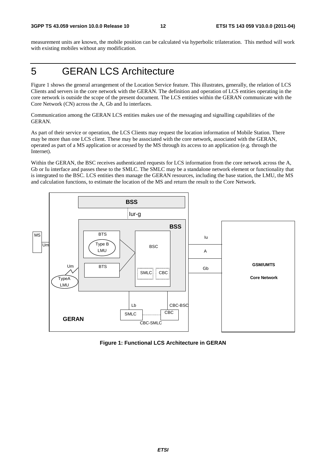measurement units are known, the mobile position can be calculated via hyperbolic trilateration. This method will work with existing mobiles without any modification.

# 5 GERAN LCS Architecture

Figure 1 shows the general arrangement of the Location Service feature. This illustrates, generally, the relation of LCS Clients and servers in the core network with the GERAN. The definition and operation of LCS entities operating in the core network is outside the scope of the present document. The LCS entities within the GERAN communicate with the Core Network (CN) across the A, Gb and Iu interfaces.

Communication among the GERAN LCS entities makes use of the messaging and signalling capabilities of the GERAN.

As part of their service or operation, the LCS Clients may request the location information of Mobile Station. There may be more than one LCS client. These may be associated with the core network, associated with the GERAN, operated as part of a MS application or accessed by the MS through its access to an application (e.g. through the Internet).

Within the GERAN, the BSC receives authenticated requests for LCS information from the core network across the A, Gb or Iu interface and passes these to the SMLC. The SMLC may be a standalone network element or functionality that is integrated to the BSC. LCS entities then manage the GERAN resources, including the base station, the LMU, the MS and calculation functions, to estimate the location of the MS and return the result to the Core Network.



**Figure 1: Functional LCS Architecture in GERAN**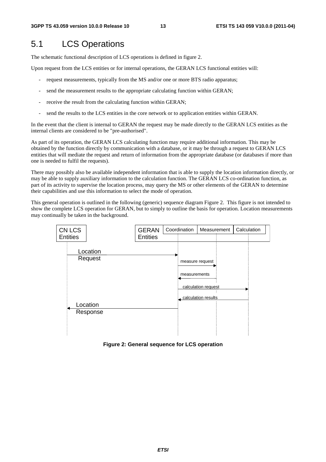# 5.1 LCS Operations

The schematic functional description of LCS operations is defined in figure 2.

Upon request from the LCS entities or for internal operations, the GERAN LCS functional entities will:

- request measurements, typically from the MS and/or one or more BTS radio apparatus;
- send the measurement results to the appropriate calculating function within GERAN;
- receive the result from the calculating function within GERAN;
- send the results to the LCS entities in the core network or to application entities within GERAN.

In the event that the client is internal to GERAN the request may be made directly to the GERAN LCS entities as the internal clients are considered to be "pre-authorised".

As part of its operation, the GERAN LCS calculating function may require additional information. This may be obtained by the function directly by communication with a database, or it may be through a request to GERAN LCS entities that will mediate the request and return of information from the appropriate database (or databases if more than one is needed to fulfil the requests).

There may possibly also be available independent information that is able to supply the location information directly, or may be able to supply auxiliary information to the calculation function. The GERAN LCS co-ordination function, as part of its activity to supervise the location process, may query the MS or other elements of the GERAN to determine their capabilities and use this information to select the mode of operation.

This general operation is outlined in the following (generic) sequence diagram Figure 2. This figure is not intended to show the complete LCS operation for GERAN, but to simply to outline the basis for operation. Location measurements may continually be taken in the background.



**Figure 2: General sequence for LCS operation**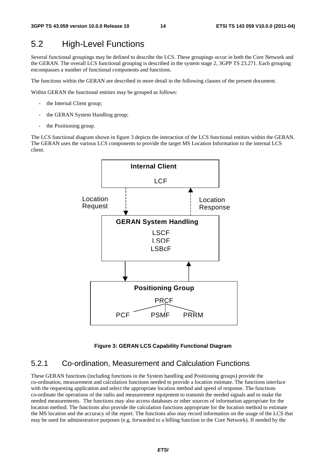# 5.2 High-Level Functions

Several functional groupings may be defined to describe the LCS. These groupings occur in both the Core Network and the GERAN. The overall LCS functional grouping is described in the system stage 2, 3GPP TS 23.271. Each grouping encompasses a number of functional components and functions.

The functions within the GERAN are described in more detail in the following clauses of the present document.

Within GERAN the functional entities may be grouped as follows:

- the Internal Client group;
- the GERAN System Handling group;
- the Positioning group.

The LCS functional diagram shown in figure 3 depicts the interaction of the LCS functional entities within the GERAN. The GERAN uses the various LCS components to provide the target MS Location Information to the internal LCS client.



#### **Figure 3: GERAN LCS Capability Functional Diagram**

### 5.2.1 Co-ordination, Measurement and Calculation Functions

These GERAN functions (including functions in the System handling and Positioning groups) provide the co-ordination, measurement and calculation functions needed to provide a location estimate. The functions interface with the requesting application and select the appropriate location method and speed of response. The functions co-ordinate the operations of the radio and measurement equipment to transmit the needed signals and to make the needed measurements. The functions may also access databases or other sources of information appropriate for the location method. The functions also provide the calculation functions appropriate for the location method to estimate the MS location and the accuracy of the report. The functions also may record information on the usage of the LCS that may be used for administrative purposes (e.g. forwarded to a billing function in the Core Network). If needed by the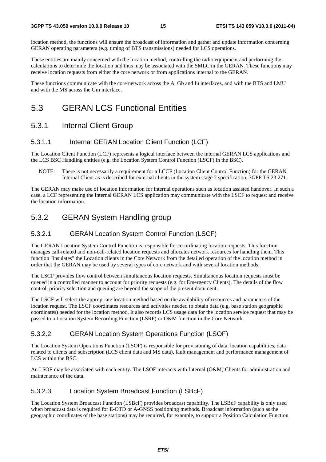location method, the functions will ensure the broadcast of information and gather and update information concerning GERAN operating parameters (e.g. timing of BTS transmissions) needed for LCS operations.

These entities are mainly concerned with the location method, controlling the radio equipment and performing the calculations to determine the location and thus may be associated with the SMLC in the GERAN. These functions may receive location requests from either the core network or from applications internal to the GERAN.

These functions communicate with the core network across the A, Gb and Iu interfaces, and with the BTS and LMU and with the MS across the Um interface.

# 5.3 GERAN LCS Functional Entities

# 5.3.1 Internal Client Group

### 5.3.1.1 Internal GERAN Location Client Function (LCF)

The Location Client Function (LCF) represents a logical interface between the internal GERAN LCS applications and the LCS BSC Handling entities (e.g. the Location System Control Function (LSCF) in the BSC).

NOTE: There is not necessarily a requirement for a LCCF (Location Client Control Function) for the GERAN Internal Client as is described for external clients in the system stage 2 specification, 3GPP TS 23.271.

The GERAN may make use of location information for internal operations such as location assisted handover. In such a case, a LCF representing the internal GERAN LCS application may communicate with the LSCF to request and receive the location information.

# 5.3.2 GERAN System Handling group

# 5.3.2.1 GERAN Location System Control Function (LSCF)

The GERAN Location System Control Function is responsible for co-ordinating location requests. This function manages call-related and non-call-related location requests and allocates network resources for handling them. This function "insulates" the Location clients in the Core Network from the detailed operation of the location method in order that the GERAN may be used by several types of core network and with several location methods.

The LSCF provides flow control between simultaneous location requests. Simultaneous location requests must be queued in a controlled manner to account for priority requests (e.g. for Emergency Clients). The details of the flow control, priority selection and queuing are beyond the scope of the present document.

The LSCF will select the appropriate location method based on the availability of resources and parameters of the location request. The LSCF coordinates resources and activities needed to obtain data (e.g. base station geographic coordinates) needed for the location method. It also records LCS usage data for the location service request that may be passed to a Location System Recording Function (LSRF) or O&M function in the Core Network.

# 5.3.2.2 GERAN Location System Operations Function (LSOF)

The Location System Operations Function (LSOF) is responsible for provisioning of data, location capabilities, data related to clients and subscription (LCS client data and MS data), fault management and performance management of LCS within the BSC.

An LSOF may be associated with each entity. The LSOF interacts with Internal (O&M) Clients for administration and maintenance of the data.

# 5.3.2.3 Location System Broadcast Function (LSBcF)

The Location System Broadcast Function (LSBcF) provides broadcast capability. The LSBcF capability is only used when broadcast data is required for E-OTD or A-GNSS positioning methods. Broadcast information (such as the geographic coordinates of the base stations) may be required, for example, to support a Position Calculation Function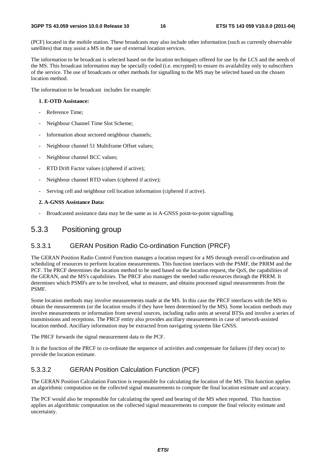(PCF) located in the mobile station. These broadcasts may also include other information (such as currently observable satellites) that may assist a MS in the use of external location services.

The information to be broadcast is selected based on the location techniques offered for use by the LCS and the needs of the MS. This broadcast information may be specially coded (i.e. encrypted) to ensure its availability only to subscribers of the service. The use of broadcasts or other methods for signalling to the MS may be selected based on the chosen location method.

The information to be broadcast includes for example:

#### **1. E-OTD Assistance:**

- Reference Time:
- Neighbour Channel Time Slot Scheme;
- Information about sectored neighbour channels;
- Neighbour channel 51 Multiframe Offset values;
- Neighbour channel BCC values;
- RTD Drift Factor values (ciphered if active);
- Neighbour channel RTD values (ciphered if active);
- Serving cell and neighbour cell location information (ciphered if active).

#### **2. A-GNSS Assistance Data:**

Broadcasted assistance data may be the same as in A-GNSS point-to-point signalling.

### 5.3.3 Positioning group

#### 5.3.3.1 GERAN Position Radio Co-ordination Function (PRCF)

The GERAN Position Radio Control Function manages a location request for a MS through overall co-ordination and scheduling of resources to perform location measurements. This function interfaces with the PSMF, the PRRM and the PCF. The PRCF determines the location method to be used based on the location request, the QoS, the capabilities of the GERAN, and the MS's capabilities. The PRCF also manages the needed radio resources through the PRRM. It determines which PSMFs are to be involved, what to measure, and obtains processed signal measurements from the PSMF.

Some location methods may involve measurements made at the MS. In this case the PRCF interfaces with the MS to obtain the measurements (or the location results if they have been determined by the MS). Some location methods may involve measurements or information from several sources, including radio units at several BTSs and involve a series of transmissions and receptions. The PRCF entity also provides ancillary measurements in case of network-assisted location method. Ancillary information may be extracted from navigating systems like GNSS.

The PRCF forwards the signal measurement data to the PCF.

It is the function of the PRCF to co-ordinate the sequence of activities and compensate for failures (if they occur) to provide the location estimate.

#### 5.3.3.2 GERAN Position Calculation Function (PCF)

The GERAN Position Calculation Function is responsible for calculating the location of the MS. This function applies an algorithmic computation on the collected signal measurements to compute the final location estimate and accuracy.

The PCF would also be responsible for calculating the speed and bearing of the MS when reported. This function applies an algorithmic computation on the collected signal measurements to compute the final velocity estimate and uncertainty.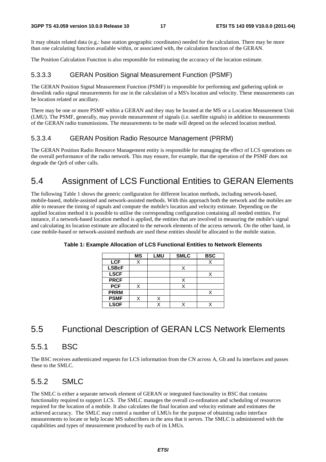It may obtain related data (e.g.: base station geographic coordinates) needed for the calculation. There may be more than one calculating function available within, or associated with, the calculation function of the GERAN.

The Position Calculation Function is also responsible for estimating the accuracy of the location estimate.

### 5.3.3.3 GERAN Position Signal Measurement Function (PSMF)

The GERAN Position Signal Measurement Function (PSMF) is responsible for performing and gathering uplink or downlink radio signal measurements for use in the calculation of a MS's location and velocity. These measurements can be location related or ancillary.

There may be one or more PSMF within a GERAN and they may be located at the MS or a Location Measurement Unit (LMU). The PSMF, generally, may provide measurement of signals (i.e. satellite signals) in addition to measurements of the GERAN radio transmissions. The measurements to be made will depend on the selected location method.

### 5.3.3.4 GERAN Position Radio Resource Management (PRRM)

The GERAN Position Radio Resource Management entity is responsible for managing the effect of LCS operations on the overall performance of the radio network. This may ensure, for example, that the operation of the PSMF does not degrade the QoS of other calls.

# 5.4 Assignment of LCS Functional Entities to GERAN Elements

The following Table 1 shows the generic configuration for different location methods, including network-based, mobile-based, mobile-assisted and network-assisted methods. With this approach both the network and the mobiles are able to measure the timing of signals and compute the mobile's location and velocity estimate. Depending on the applied location method it is possible to utilise the corresponding configuration containing all needed entities. For instance, if a network-based location method is applied, the entities that are involved in measuring the mobile's signal and calculating its location estimate are allocated to the network elements of the access network. On the other hand, in case mobile-based or network-assisted methods are used these entities should be allocated to the mobile station.

|              | <b>MS</b> | <b>LMU</b> | <b>SMLC</b> | <b>BSC</b> |
|--------------|-----------|------------|-------------|------------|
| <b>LCF</b>   | Χ         |            |             |            |
| <b>LSBcF</b> |           |            |             |            |
| <b>LSCF</b>  |           |            |             |            |
| <b>PRCF</b>  |           |            | X           |            |
| <b>PCF</b>   |           |            |             |            |
| <b>PRRM</b>  |           |            |             |            |
| <b>PSMF</b>  | X         |            |             |            |
| <b>LSOF</b>  |           |            |             |            |

**Table 1: Example Allocation of LCS Functional Entities to Network Elements** 

# 5.5 Functional Description of GERAN LCS Network Elements

# 5.5.1 BSC

The BSC receives authenticated requests for LCS information from the CN across A, Gb and Iu interfaces and passes these to the SMLC.

# 5.5.2 SMLC

The SMLC is either a separate network element of GERAN or integrated functionality in BSC that contains functionality required to support LCS. The SMLC manages the overall co-ordination and scheduling of resources required for the location of a mobile. It also calculates the final location and velocity estimate and estimates the achieved accuracy. The SMLC may control a number of LMUs for the purpose of obtaining radio interface measurements to locate or help locate MS subscribers in the area that it serves. The SMLC is administered with the capabilities and types of measurement produced by each of its LMUs.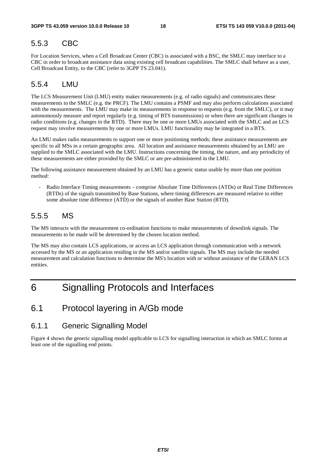### 5.5.3 CBC

For Location Services, when a Cell Broadcast Center (CBC) is associated with a BSC, the SMLC may interface to a CBC in order to broadcast assistance data using existing cell broadcast capabilities. The SMLC shall behave as a user, Cell Broadcast Entity, to the CBC (refer to 3GPP TS 23.041).

### 5.5.4 LMU

The LCS Measurement Unit (LMU) entity makes measurements (e.g. of radio signals) and communicates these measurements to the SMLC (e.g. the PRCF). The LMU contains a PSMF and may also perform calculations associated with the measurements. The LMU may make its measurements in response to requests (e.g. from the SMLC), or it may autonomously measure and report regularly (e.g. timing of BTS transmissions) or when there are significant changes in radio conditions (e.g. changes in the RTD). There may be one or more LMUs associated with the SMLC and an LCS request may involve measurements by one or more LMUs. LMU functionality may be integrated in a BTS.

An LMU makes radio measurements to support one or more positioning methods; these assistance measurements are specific to all MSs in a certain geographic area. All location and assistance measurements obtained by an LMU are supplied to the SMLC associated with the LMU. Instructions concerning the timing, the nature, and any periodicity of these measurements are either provided by the SMLC or are pre-administered in the LMU.

The following assistance measurement obtained by an LMU has a generic status usable by more than one position method:

- Radio Interface Timing measurements – comprise Absolute Time Differences (ATDs) or Real Time Differences (RTDs) of the signals transmitted by Base Stations, where timing differences are measured relative to either some absolute time difference (ATD) or the signals of another Base Station (RTD).

## 5.5.5 MS

The MS interacts with the measurement co-ordination functions to make measurements of downlink signals. The measurements to be made will be determined by the chosen location method.

The MS may also contain LCS applications, or access an LCS application through communication with a network accessed by the MS or an application residing in the MS and/or satellite signals. The MS may include the needed measurement and calculation functions to determine the MS's location with or without assistance of the GERAN LCS entities.

# 6 Signalling Protocols and Interfaces

# 6.1 Protocol layering in A/Gb mode

### 6.1.1 Generic Signalling Model

Figure 4 shows the generic signalling model applicable to LCS for signalling interaction in which an SMLC forms at least one of the signalling end points.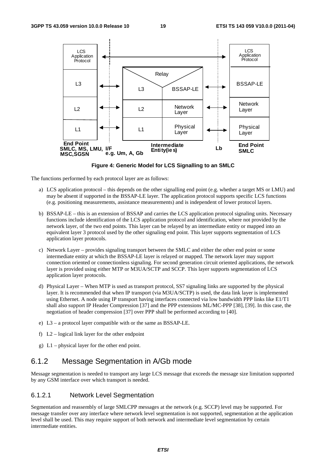

**Figure 4: Generic Model for LCS Signalling to an SMLC** 

The functions performed by each protocol layer are as follows:

- a) LCS application protocol this depends on the other signalling end point (e.g. whether a target MS or LMU) and may be absent if supported in the BSSAP-LE layer. The application protocol supports specific LCS functions (e.g. positioning measurements, assistance measurements) and is independent of lower protocol layers.
- b) BSSAP-LE this is an extension of BSSAP and carries the LCS application protocol signaling units. Necessary functions include identification of the LCS application protocol and identification, where not provided by the network layer, of the two end points. This layer can be relayed by an intermediate entity or mapped into an equivalent layer 3 protocol used by the other signaling end point. This layer supports segmentation of LCS application layer protocols.
- c) Network Layer provides signaling transport between the SMLC and either the other end point or some intermediate entity at which the BSSAP-LE layer is relayed or mapped. The network layer may support connection oriented or connectionless signaling. For second generation circuit oriented applications, the network layer is provided using either MTP or M3UA/SCTP and SCCP. This layer supports segmentation of LCS application layer protocols.
- d) Physical Layer When MTP is used as transport protocol, SS7 signaling links are supported by the physical layer. It is recommended that when IP transport (via M3UA/SCTP) is used, the data link layer is implemented using Ethernet. A node using IP transport having interfaces connected via low bandwidth PPP links like E1/T1 shall also support IP Header Compression [37] and the PPP extensions ML/MC-PPP [38], [39]. In this case, the negotiation of header compression [37] over PPP shall be performed according to [40].
- e) L3 a protocol layer compatible with or the same as BSSAP-LE.
- f)  $L2$  logical link layer for the other endpoint
- g) L1 physical layer for the other end point.

### 6.1.2 Message Segmentation in A/Gb mode

Message segmentation is needed to transport any large LCS message that exceeds the message size limitation supported by any GSM interface over which transport is needed.

#### 6.1.2.1 Network Level Segmentation

Segmentation and reassembly of large SMLCPP messages at the network (e.g. SCCP) level may be supported. For message transfer over any interface where network level segmentation is not supported, segmentation at the application level shall be used. This may require support of both network and intermediate level segmentation by certain intermediate entities.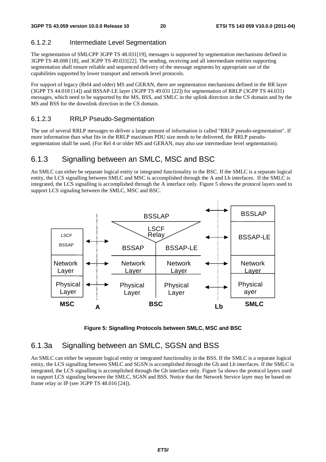### 6.1.2.2 Intermediate Level Segmentation

The segmentation of SMLCPP 3GPP TS 48.031[19], messages is supported by segmentation mechanisms defined in 3GPP TS 48.008 [18], and 3GPP TS 49.031[22]. The sending, receiving and all intermediate entities supporting segmentation shall ensure reliable and sequenced delivery of the message segments by appropriate use of the capabilities supported by lower transport and network level protocols.

For support of legacy (Rel4 and older) MS and GERAN, there are segmentation mechanisms defined in the RR layer (3GPP TS 44.018 [14]) and BSSAP-LE layer (3GPP TS 49.031 [22]) for segmentation of RRLP (3GPP TS 44.031) messages, which need to be supported by the MS, BSS, and SMLC in the uplink direction in the CS domain and by the MS and BSS for the downlink direction in the CS domain.

#### 6.1.2.3 RRLP Pseudo-Segmentation

The use of several RRLP messages to deliver a large amount of information is called "RRLP pseudo-segmentation". If more information than what fits in the RRLP maximum PDU size needs to be delivered, the RRLP pseudosegmentation shall be used. (For Rel 4 or older MS and GERAN, may also use intermediate level segmentation).

### 6.1.3 Signalling between an SMLC, MSC and BSC

An SMLC can either be separate logical entity or integrated functionality in the BSC. If the SMLC is a separate logical entity, the LCS signalling between SMLC and MSC is accomplished through the A and Lb interfaces. If the SMLC is integrated, the LCS signalling is accomplished through the A interface only. Figure 5 shows the protocol layers used to support LCS signaling between the SMLC, MSC and BSC.





### 6.1.3a Signalling between an SMLC, SGSN and BSS

An SMLC can either be separate logical entity or integrated functionality in the BSS. If the SMLC is a separate logical entity, the LCS signalling between SMLC and SGSN is accomplished through the Gb and Lb interfaces. If the SMLC is integrated, the LCS signalling is accomplished through the Gb interface only. Figure 5a shows the protocol layers used to support LCS signaling between the SMLC, SGSN and BSS. Notice that the Network Service layer may be based on frame relay or IP (see 3GPP TS 48.016 [24]).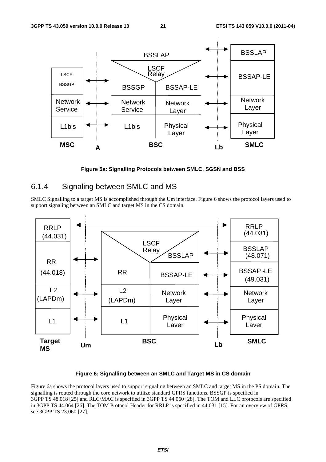

**Figure 5a: Signalling Protocols between SMLC, SGSN and BSS** 

# 6.1.4 Signaling between SMLC and MS

SMLC Signalling to a target MS is accomplished through the Um interface. Figure 6 shows the protocol layers used to support signaling between an SMLC and target MS in the CS domain.



#### **Figure 6: Signalling between an SMLC and Target MS in CS domain**

Figure 6a shows the protocol layers used to support signaling between an SMLC and target MS in the PS domain. The signalling is routed through the core network to utilize standard GPRS functions. BSSGP is specified in 3GPP TS 48.018 [25] and RLC/MAC is specified in 3GPP TS 44.060 [28]. The TOM and LLC protocols are specified in 3GPP TS 44.064 [26]. The TOM Protocol Header for RRLP is specified in 44.031 [15]. For an overview of GPRS, see 3GPP TS 23.060 [27].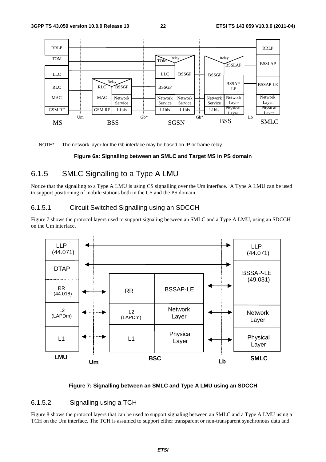

NOTE\*: The network layer for the Gb interface may be based on IP or frame relay.

#### **Figure 6a: Signalling between an SMLC and Target MS in PS domain**

### 6.1.5 SMLC Signalling to a Type A LMU

Notice that the signalling to a Type A LMU is using CS signalling over the Um interface. A Type A LMU can be used to support positioning of mobile stations both in the CS and the PS domain.

#### 6.1.5.1 Circuit Switched Signalling using an SDCCH

Figure 7 shows the protocol layers used to support signaling between an SMLC and a Type A LMU, using an SDCCH on the Um interface.



#### **Figure 7: Signalling between an SMLC and Type A LMU using an SDCCH**

### 6.1.5.2 Signalling using a TCH

Figure 8 shows the protocol layers that can be used to support signaling between an SMLC and a Type A LMU using a TCH on the Um interface. The TCH is assumed to support either transparent or non-transparent synchronous data and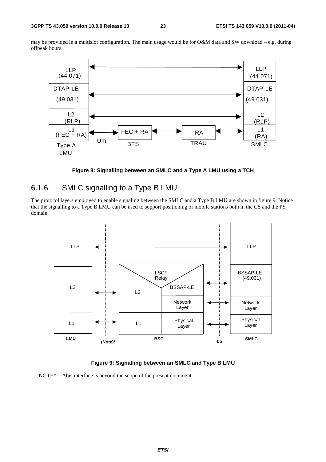may be provided in a multislot configuration. The main usage would be for O&M data and SW download – e.g. during offpeak hours.





# 6.1.6 SMLC signalling to a Type B LMU

The protocol layers employed to enable signaling between the SMLC and a Type B LMU are shown in figure 9. Notice that the signalling to a Type B LMU can be used to support positioning of mobile stations both in the CS and the PS domain.



**Figure 9: Signalling between an SMLC and Type B LMU** 

NOTE\*: Abis interface is beyond the scope of the present document.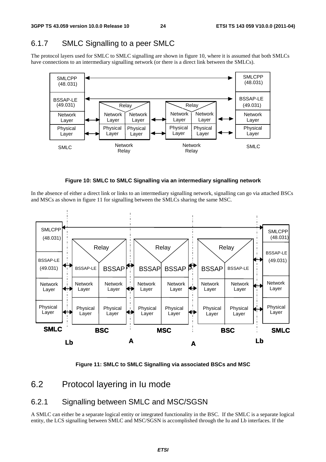# 6.1.7 SMLC Signalling to a peer SMLC

The protocol layers used for SMLC to SMLC signalling are shown in figure 10, where it is assumed that both SMLCs have connections to an intermediary signalling network (or there is a direct link between the SMLCs).





In the absence of either a direct link or links to an intermediary signalling network, signalling can go via attached BSCs and MSCs as shown in figure 11 for signalling between the SMLCs sharing the same MSC.



**Figure 11: SMLC to SMLC Signalling via associated BSCs and MSC** 

# 6.2 Protocol layering in Iu mode

# 6.2.1 Signalling between SMLC and MSC/SGSN

A SMLC can either be a separate logical entity or integrated functionality in the BSC. If the SMLC is a separate logical entity, the LCS signalling between SMLC and MSC/SGSN is accomplished through the Iu and Lb interfaces. If the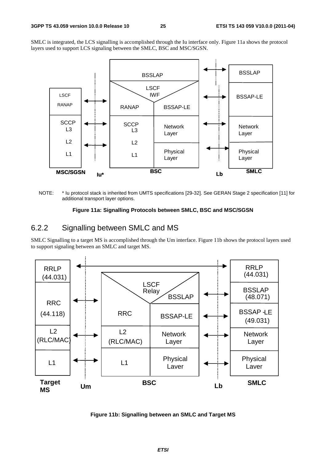SMLC is integrated, the LCS signalling is accomplished through the Iu interface only. Figure 11a shows the protocol layers used to support LCS signaling between the SMLC, BSC and MSC/SGSN.



NOTE: \* Iu protocol stack is inherited from UMTS specifications [29-32]. See GERAN Stage 2 specification [11] for additional transport layer options.

#### **Figure 11a: Signalling Protocols between SMLC, BSC and MSC/SGSN**

## 6.2.2 Signalling between SMLC and MS

SMLC Signalling to a target MS is accomplished through the Um interface. Figure 11b shows the protocol layers used to support signaling between an SMLC and target MS.



**Figure 11b: Signalling between an SMLC and Target MS**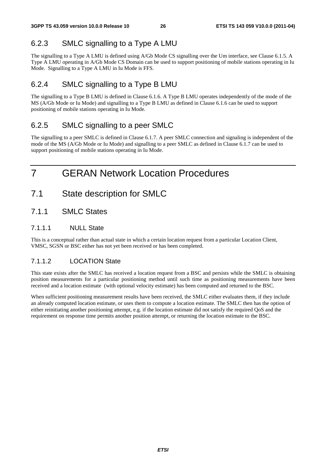# 6.2.3 SMLC signalling to a Type A LMU

The signalling to a Type A LMU is defined using A/Gb Mode CS signalling over the Um interface, see Clause 6.1.5. A Type A LMU operating in A/Gb Mode CS Domain can be used to support positioning of mobile stations operating in Iu Mode. Signalling to a Type A LMU in Iu Mode is FFS.

# 6.2.4 SMLC signalling to a Type B LMU

The signalling to a Type B LMU is defined in Clause 6.1.6. A Type B LMU operates independently of the mode of the MS (A/Gb Mode or Iu Mode) and signalling to a Type B LMU as defined in Clause 6.1.6 can be used to support positioning of mobile stations operating in Iu Mode.

# 6.2.5 SMLC signalling to a peer SMLC

The signalling to a peer SMLC is defined in Clause 6.1.7. A peer SMLC connection and signaling is independent of the mode of the MS (A/Gb Mode or Iu Mode) and signalling to a peer SMLC as defined in Clause 6.1.7 can be used to support positioning of mobile stations operating in Iu Mode.

# 7 GERAN Network Location Procedures

- 7.1 State description for SMLC
- 7.1.1 SMLC States

### 7.1.1.1 NULL State

This is a conceptual rather than actual state in which a certain location request from a particular Location Client, VMSC, SGSN or BSC either has not yet been received or has been completed.

### 7.1.1.2 LOCATION State

This state exists after the SMLC has received a location request from a BSC and persists while the SMLC is obtaining position measurements for a particular positioning method until such time as positioning measurements have been received and a location estimate (with optional velocity estimate) has been computed and returned to the BSC.

When sufficient positioning measurement results have been received, the SMLC either evaluates them, if they include an already computed location estimate, or uses them to compute a location estimate. The SMLC then has the option of either reinitiating another positioning attempt, e.g. if the location estimate did not satisfy the required QoS and the requirement on response time permits another position attempt, or returning the location estimate to the BSC.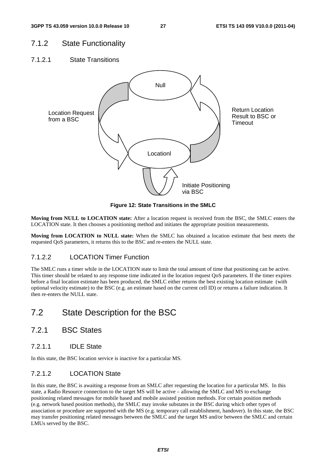# 7.1.2 State Functionality

7.1.2.1 State Transitions



**Figure 12: State Transitions in the SMLC** 

**Moving from NULL to LOCATION state:** After a location request is received from the BSC, the SMLC enters the LOCATION state. It then chooses a positioning method and initiates the appropriate position measurements.

**Moving from LOCATION to NULL state:** When the SMLC has obtained a location estimate that best meets the requested QoS parameters, it returns this to the BSC and re-enters the NULL state.

### 7.1.2.2 LOCATION Timer Function

The SMLC runs a timer while in the LOCATION state to limit the total amount of time that positioning can be active. This timer should be related to any response time indicated in the location request QoS parameters. If the timer expires before a final location estimate has been produced, the SMLC either returns the best existing location estimate (with optional velocity estimate) to the BSC (e.g. an estimate based on the current cell ID) or returns a failure indication. It then re-enters the NULL state.

# 7.2 State Description for the BSC

- 7.2.1 BSC States
- 7.2.1.1 IDLE State

In this state, the BSC location service is inactive for a particular MS.

### 7.2.1.2 LOCATION State

In this state, the BSC is awaiting a response from an SMLC after requesting the location for a particular MS. In this state, a Radio Resource connection to the target MS will be active – allowing the SMLC and MS to exchange positioning related messages for mobile based and mobile assisted position methods. For certain position methods (e.g. network based position methods), the SMLC may invoke substates in the BSC during which other types of association or procedure are supported with the MS (e.g. temporary call establishment, handover). In this state, the BSC may transfer positioning related messages between the SMLC and the target MS and/or between the SMLC and certain LMUs served by the BSC.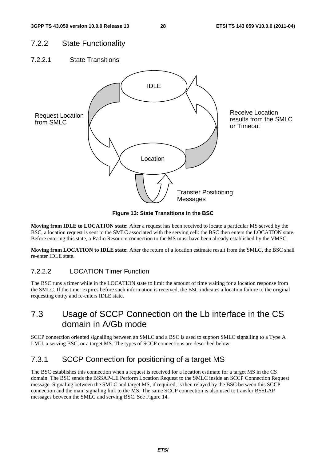# 7.2.2 State Functionality

7.2.2.1 State Transitions



**Figure 13: State Transitions in the BSC** 

**Moving from IDLE to LOCATION state:** After a request has been received to locate a particular MS served by the BSC, a location request is sent to the SMLC associated with the serving cell: the BSC then enters the LOCATION state. Before entering this state, a Radio Resource connection to the MS must have been already established by the VMSC.

**Moving from LOCATION to IDLE state:** After the return of a location estimate result from the SMLC, the BSC shall re-enter IDLE state.

### 7.2.2.2 LOCATION Timer Function

The BSC runs a timer while in the LOCATION state to limit the amount of time waiting for a location response from the SMLC. If the timer expires before such information is received, the BSC indicates a location failure to the original requesting entity and re-enters IDLE state.

# 7.3 Usage of SCCP Connection on the Lb interface in the CS domain in A/Gb mode

SCCP connection oriented signalling between an SMLC and a BSC is used to support SMLC signalling to a Type A LMU, a serving BSC, or a target MS. The types of SCCP connections are described below.

# 7.3.1 SCCP Connection for positioning of a target MS

The BSC establishes this connection when a request is received for a location estimate for a target MS in the CS domain. The BSC sends the BSSAP-LE Perform Location Request to the SMLC inside an SCCP Connection Request message. Signaling between the SMLC and target MS, if required, is then relayed by the BSC between this SCCP connection and the main signaling link to the MS. The same SCCP connection is also used to transfer BSSLAP messages between the SMLC and serving BSC. See Figure 14.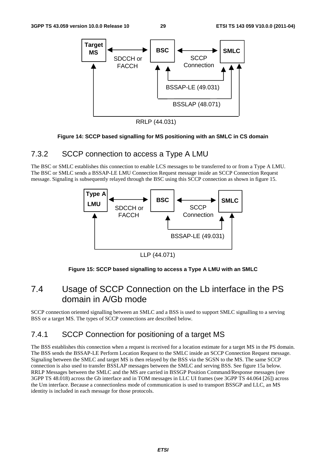

RRLP (44.031)

#### **Figure 14: SCCP based signalling for MS positioning with an SMLC in CS domain**

# 7.3.2 SCCP connection to access a Type A LMU

The BSC or SMLC establishes this connection to enable LCS messages to be transferred to or from a Type A LMU. The BSC or SMLC sends a BSSAP-LE LMU Connection Request message inside an SCCP Connection Request message. Signaling is subsequently relayed through the BSC using this SCCP connection as shown in figure 15.



LLP (44.071)

### **Figure 15: SCCP based signalling to access a Type A LMU with an SMLC**

# 7.4 Usage of SCCP Connection on the Lb interface in the PS domain in A/Gb mode

SCCP connection oriented signalling between an SMLC and a BSS is used to support SMLC signalling to a serving BSS or a target MS. The types of SCCP connections are described below.

# 7.4.1 SCCP Connection for positioning of a target MS

The BSS establishes this connection when a request is received for a location estimate for a target MS in the PS domain. The BSS sends the BSSAP-LE Perform Location Request to the SMLC inside an SCCP Connection Request message. Signaling between the SMLC and target MS is then relayed by the BSS via the SGSN to the MS. The same SCCP connection is also used to transfer BSSLAP messages between the SMLC and serving BSS. See figure 15a below. RRLP Messages between the SMLC and the MS are carried in BSSGP Position Command/Response messages (see 3GPP TS 48.018) across the Gb interface and in TOM messages in LLC UI frames (see 3GPP TS 44.064 [26]) across the Um interface. Because a connectionless mode of communication is used to transport BSSGP and LLC, an MS identity is included in each message for those protocols.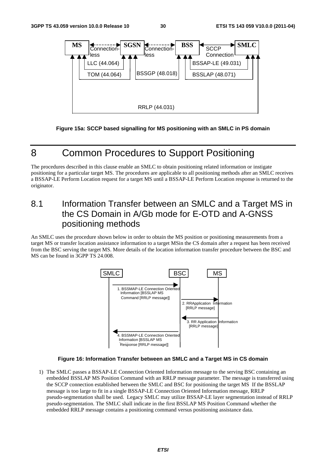

**Figure 15a: SCCP based signalling for MS positioning with an SMLC in PS domain** 

# 8 Common Procedures to Support Positioning

The procedures described in this clause enable an SMLC to obtain positioning related information or instigate positioning for a particular target MS. The procedures are applicable to all positioning methods after an SMLC receives a BSSAP-LE Perform Location request for a target MS until a BSSAP-LE Perform Location response is returned to the originator.

# 8.1 Information Transfer between an SMLC and a Target MS in the CS Domain in A/Gb mode for E-OTD and A-GNSS positioning methods

An SMLC uses the procedure shown below in order to obtain the MS position or positioning measurements from a target MS or transfer location assistance information to a target MSin the CS domain after a request has been received from the BSC serving the target MS. More details of the location information transfer procedure between the BSC and MS can be found in 3GPP TS 24.008.



#### **Figure 16: Information Transfer between an SMLC and a Target MS in CS domain**

1) The SMLC passes a BSSAP-LE Connection Oriented Information message to the serving BSC containing an embedded BSSLAP MS Position Command with an RRLP message parameter. The message is transferred using the SCCP connection established between the SMLC and BSC for positioning the target MS If the BSSLAP message is too large to fit in a single BSSAP-LE Connection Oriented Information message, RRLP pseudo-segmentation shall be used. Legacy SMLC may utilize BSSAP-LE layer segmentation instead of RRLP pseudo-segmentation. The SMLC shall indicate in the first BSSLAP MS Position Command whether the embedded RRLP message contains a positioning command versus positioning assistance data.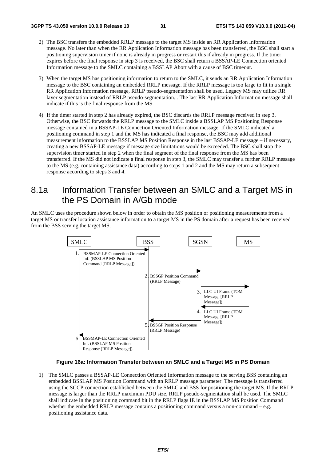- 2) The BSC transfers the embedded RRLP message to the target MS inside an RR Application Information message. No later than when the RR Application Information message has been transferred, the BSC shall start a positioning supervision timer if none is already in progress or restart this if already in progress. If the timer expires before the final response in step 3 is received, the BSC shall return a BSSAP-LE Connection oriented Information message to the SMLC containing a BSSLAP Abort with a cause of BSC timeout.
- 3) When the target MS has positioning information to return to the SMLC, it sends an RR Application Information message to the BSC containing an embedded RRLP message. If the RRLP message is too large to fit in a single RR Application Information message, RRLP pseudo-segmentation shall be used. Legacy MS may utilize RR layer segmentation instead of RRLP pseudo-segmentation. . The last RR Application Information message shall indicate if this is the final response from the MS.
- 4) If the timer started in step 2 has already expired, the BSC discards the RRLP message received in step 3. Otherwise, the BSC forwards the RRLP message to the SMLC inside a BSSLAP MS Positioning Response message contained in a BSSAP-LE Connection Oriented Information message. If the SMLC indicated a positioning command in step 1 and the MS has indicated a final response, the BSC may add additional measurement information to the BSSLAP MS Position Response in the last BSSAP-LE message – if necessary, creating a new BSSAP-LE message if message size limitations would be exceeded. The BSC shall stop the supervision timer started in step 2 when the final segment of the final response from the MS has been transferred. If the MS did not indicate a final response in step 3, the SMLC may transfer a further RRLP message to the MS (e.g. containing assistance data) according to steps 1 and 2 and the MS may return a subsequent response according to steps 3 and 4.

# 8.1a Information Transfer between an SMLC and a Target MS in the PS Domain in A/Gb mode

An SMLC uses the procedure shown below in order to obtain the MS position or positioning measurements from a target MS or transfer location assistance information to a target MS in the PS domain after a request has been received from the BSS serving the target MS.



#### **Figure 16a: Information Transfer between an SMLC and a Target MS in PS Domain**

1) The SMLC passes a BSSAP-LE Connection Oriented Information message to the serving BSS containing an embedded BSSLAP MS Position Command with an RRLP message parameter. The message is transferred using the SCCP connection established between the SMLC and BSS for positioning the target MS. If the RRLP message is larger than the RRLP maximum PDU size, RRLP pseudo-segmentation shall be used. The SMLC shall indicate in the positioning command bit in the RRLP flags IE in the BSSLAP MS Position Command whether the embedded RRLP message contains a positioning command versus a non-command  $-e.g.$ positioning assistance data.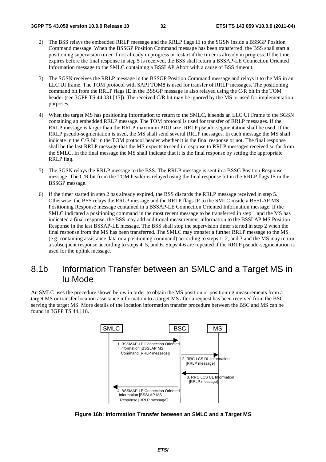- 2) The BSS relays the embedded RRLP message and the RRLP flags IE to the SGSN inside a BSSGP Position Command message. When the BSSGP Position Command message has been transferred, the BSS shall start a positioning supervision timer if not already in progress or restart if the timer is already in progress. If the timer expires before the final response in step 5 is received, the BSS shall return a BSSAP-LE Connection Oriented Information message to the SMLC containing a BSSLAP Abort with a cause of BSS timeout.
- 3) The SGSN receives the RRLP message in the BSSGP Position Command message and relays it to the MS in an LLC UI frame. The TOM protocol with SAPI TOM8 is used for transfer of RRLP messages. The positioning command bit from the RRLP flags IE in the BSSGP message is also relayed using the C/R bit in the TOM header (see 3GPP TS 44.031 [15]). The received C/R bit may be ignored by the MS or used for implementation purposes.
- 4) When the target MS has positioning information to return to the SMLC, it sends an LLC UI Frame to the SGSN containing an embedded RRLP message. The TOM protocol is used for transfer of RRLP messages. If the RRLP message is larger than the RRLP maximum PDU size, RRLP pseudo-segmentation shall be used. If the RRLP pseudo-segmentation is used, the MS shall send several RRLP messages. In each message the MS shall indicate in the C/R bit in the TOM protocol header whether it is the final response or not. The final response shall be the last RRLP message that the MS expects to send in response to RRLP messages received so far from the SMLC. In the final message the MS shall indicate that it is the final response by setting the appropriate RRLP flag.
- 5) The SGSN relays the RRLP message to the BSS. The RRLP message is sent in a BSSG Position Response message. The C/R bit from the TOM header is relayed using the final response bit in the RRLP flags IE in the BSSGP message.
- 6) If the timer started in step 2 has already expired, the BSS discards the RRLP message received in step 5. Otherwise, the BSS relays the RRLP message and the RRLP flags IE to the SMLC inside a BSSLAP MS Positioning Response message contained in a BSSAP-LE Connection Oriented Information message. If the SMLC indicated a positioning command in the most recent message to be transferred in step 1 and the MS has indicated a final response, the BSS may add additional measurement information to the BSSLAP MS Position Response in the last BSSAP-LE message. The BSS shall stop the supervision timer started in step 2 when the final response from the MS has been transferred. The SMLC may transfer a further RRLP message to the MS (e.g. containing assistance data or a positioning command) according to steps 1, 2, and 3 and the MS may return a subsequent response according to steps 4, 5, and 6. Steps 4-6 are repeated if the RRLP pseudo-segmentation is used for the uplink message.

# 8.1b Information Transfer between an SMLC and a Target MS in Iu Mode

An SMLC uses the procedure shown below in order to obtain the MS position or positioning measurements from a target MS or transfer location assistance information to a target MS after a request has been received from the BSC serving the target MS. More details of the location information transfer procedure between the BSC and MS can be found in 3GPP TS 44.118.



**Figure 16b: Information Transfer between an SMLC and a Target MS**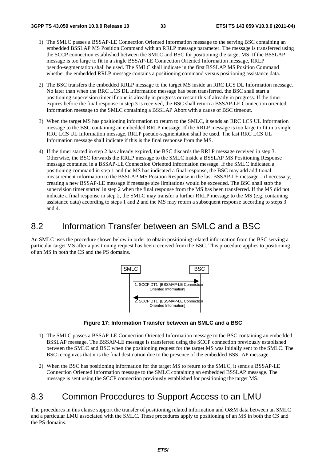- 1) The SMLC passes a BSSAP-LE Connection Oriented Information message to the serving BSC containing an embedded BSSLAP MS Position Command with an RRLP message parameter. The message is transferred using the SCCP connection established between the SMLC and BSC for positioning the target MS If the BSSLAP message is too large to fit in a single BSSAP-LE Connection Oriented Information message, RRLP pseudo-segmentation shall be used. The SMLC shall indicate in the first BSSLAP MS Position Command whether the embedded RRLP message contains a positioning command versus positioning assistance data.
- 2) The BSC transfers the embedded RRLP message to the target MS inside an RRC LCS DL Information message. No later than when the RRC LCS DL Information message has been transferred, the BSC shall start a positioning supervision timer if none is already in progress or restart this if already in progress. If the timer expires before the final response in step 3 is received, the BSC shall return a BSSAP-LE Connection oriented Information message to the SMLC containing a BSSLAP Abort with a cause of BSC timeout.
- 3) When the target MS has positioning information to return to the SMLC, it sends an RRC LCS UL Information message to the BSC containing an embedded RRLP message. If the RRLP message is too large to fit in a single RRC LCS UL Information message, RRLP pseudo-segmentation shall be used. The last RRC LCS UL Information message shall indicate if this is the final response from the MS.
- 4) If the timer started in step 2 has already expired, the BSC discards the RRLP message received in step 3. Otherwise, the BSC forwards the RRLP message to the SMLC inside a BSSLAP MS Positioning Response message contained in a BSSAP-LE Connection Oriented Information message. If the SMLC indicated a positioning command in step 1 and the MS has indicated a final response, the BSC may add additional measurement information to the BSSLAP MS Position Response in the last BSSAP-LE message – if necessary, creating a new BSSAP-LE message if message size limitations would be exceeded. The BSC shall stop the supervision timer started in step 2 when the final response from the MS has been transferred. If the MS did not indicate a final response in step 2, the SMLC may transfer a further RRLP message to the MS (e.g. containing assistance data) according to steps 1 and 2 and the MS may return a subsequent response according to steps 3 and 4.

# 8.2 Information Transfer between an SMLC and a BSC

An SMLC uses the procedure shown below in order to obtain positioning related information from the BSC serving a particular target MS after a positioning request has been received from the BSC. This procedure applies to positioning of an MS in both the CS and the PS domains.



**Figure 17: Information Transfer between an SMLC and a BSC** 

- 1) The SMLC passes a BSSAP-LE Connection Oriented Information message to the BSC containing an embedded BSSLAP message. The BSSAP-LE message is transferred using the SCCP connection previously established between the SMLC and BSC when the positioning request for the target MS was initially sent to the SMLC. The BSC recognizes that it is the final destination due to the presence of the embedded BSSLAP message.
- 2) When the BSC has positioning information for the target MS to return to the SMLC, it sends a BSSAP-LE Connection Oriented Information message to the SMLC containing an embedded BSSLAP message. The message is sent using the SCCP connection previously established for positioning the target MS.

# 8.3 Common Procedures to Support Access to an LMU

The procedures in this clause support the transfer of positioning related information and O&M data between an SMLC and a particular LMU associated with the SMLC. These procedures apply to positioning of an MS in both the CS and the PS domains.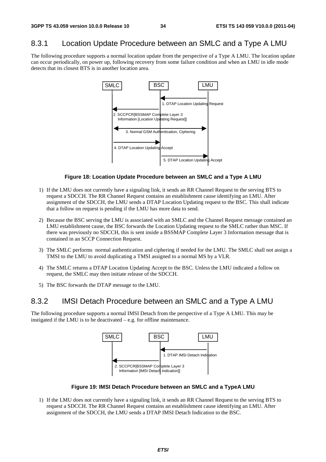# 8.3.1 Location Update Procedure between an SMLC and a Type A LMU

The following procedure supports a normal location update from the perspective of a Type A LMU. The location update can occur periodically, on power up, following recovery from some failure condition and when an LMU in idle mode detects that its closest BTS is in another location area.



#### **Figure 18: Location Update Procedure between an SMLC and a Type A LMU**

- 1) If the LMU does not currently have a signaling link, it sends an RR Channel Request to the serving BTS to request a SDCCH. The RR Channel Request contains an establishment cause identifying an LMU. After assignment of the SDCCH, the LMU sends a DTAP Location Updating request to the BSC. This shall indicate that a follow on request is pending if the LMU has more data to send.
- 2) Because the BSC serving the LMU is associated with an SMLC and the Channel Request message contained an LMU establishment cause, the BSC forwards the Location Updating request to the SMLC rather than MSC. If there was previously no SDCCH, this is sent inside a BSSMAP Complete Layer 3 Information message that is contained in an SCCP Connection Request.
- 3) The SMLC performs normal authentication and ciphering if needed for the LMU. The SMLC shall not assign a TMSI to the LMU to avoid duplicating a TMSI assigned to a normal MS by a VLR.
- 4) The SMLC returns a DTAP Location Updating Accept to the BSC. Unless the LMU indicated a follow on request, the SMLC may then initiate release of the SDCCH.
- 5) The BSC forwards the DTAP message to the LMU.

## 8.3.2 IMSI Detach Procedure between an SMLC and a Type A LMU

The following procedure supports a normal IMSI Detach from the perspective of a Type A LMU. This may be instigated if the LMU is to be deactivated – e.g. for offline maintenance.



**Figure 19: IMSI Detach Procedure between an SMLC and a TypeA LMU** 

1) If the LMU does not currently have a signaling link, it sends an RR Channel Request to the serving BTS to request a SDCCH. The RR Channel Request contains an establishment cause identifying an LMU. After assignment of the SDCCH, the LMU sends a DTAP IMSI Detach Indication to the BSC.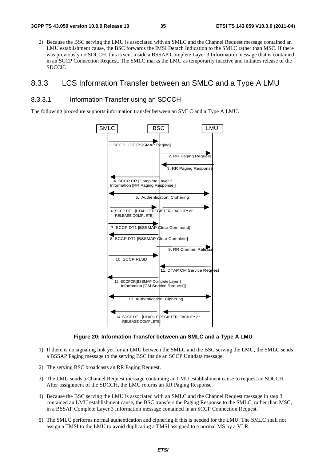2) Because the BSC serving the LMU is associated with an SMLC and the Channel Request message contained an LMU establishment cause, the BSC forwards the IMSI Detach Indication to the SMLC rather than MSC. If there was previously no SDCCH, this is sent inside a BSSAP Complete Layer 3 Information message that is contained in an SCCP Connection Request. The SMLC marks the LMU as temporarily inactive and initiates release of the SDCCH.

### 8.3.3 LCS Information Transfer between an SMLC and a Type A LMU

### 8.3.3.1 Information Transfer using an SDCCH

The following procedure supports information transfer between an SMLC and a Type A LMU.



**Figure 20: Information Transfer between an SMLC and a Type A LMU** 

- 1) If there is no signaling link yet for an LMU between the SMLC and the BSC serving the LMU, the SMLC sends a BSSAP Paging message to the serving BSC inside an SCCP Unitdata message.
- 2) The serving BSC broadcasts an RR Paging Request.
- 3) The LMU sends a Channel Request message containing an LMU establishment cause to request an SDCCH. After assignment of the SDCCH, the LMU returns an RR Paging Response.
- 4) Because the BSC serving the LMU is associated with an SMLC and the Channel Request message in step 3 contained an LMU establishment cause, the BSC transfers the Paging Response to the SMLC, rather than MSC, in a BSSAP Complete Layer 3 Information message contained in an SCCP Connection Request.
- 5) The SMLC performs normal authentication and ciphering if this is needed for the LMU. The SMLC shall not assign a TMSI to the LMU to avoid duplicating a TMSI assigned to a normal MS by a VLR.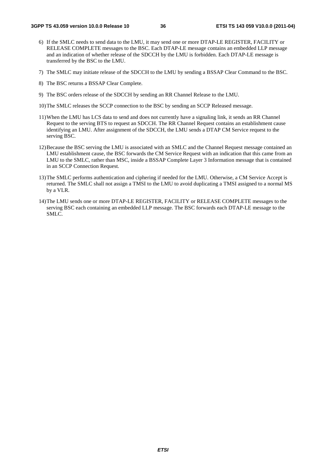- 6) If the SMLC needs to send data to the LMU, it may send one or more DTAP-LE REGISTER, FACILITY or RELEASE COMPLETE messages to the BSC. Each DTAP-LE message contains an embedded LLP message and an indication of whether release of the SDCCH by the LMU is forbidden. Each DTAP-LE message is transferred by the BSC to the LMU.
- 7) The SMLC may initiate release of the SDCCH to the LMU by sending a BSSAP Clear Command to the BSC.
- 8) The BSC returns a BSSAP Clear Complete.
- 9) The BSC orders release of the SDCCH by sending an RR Channel Release to the LMU.
- 10) The SMLC releases the SCCP connection to the BSC by sending an SCCP Released message.
- 11) When the LMU has LCS data to send and does not currently have a signaling link, it sends an RR Channel Request to the serving BTS to request an SDCCH. The RR Channel Request contains an establishment cause identifying an LMU. After assignment of the SDCCH, the LMU sends a DTAP CM Service request to the serving BSC.
- 12) Because the BSC serving the LMU is associated with an SMLC and the Channel Request message contained an LMU establishment cause, the BSC forwards the CM Service Request with an indication that this came from an LMU to the SMLC, rather than MSC, inside a BSSAP Complete Layer 3 Information message that is contained in an SCCP Connection Request.
- 13) The SMLC performs authentication and ciphering if needed for the LMU. Otherwise, a CM Service Accept is returned. The SMLC shall not assign a TMSI to the LMU to avoid duplicating a TMSI assigned to a normal MS by a VLR.
- 14) The LMU sends one or more DTAP-LE REGISTER, FACILITY or RELEASE COMPLETE messages to the serving BSC each containing an embedded LLP message. The BSC forwards each DTAP-LE message to the SMLC.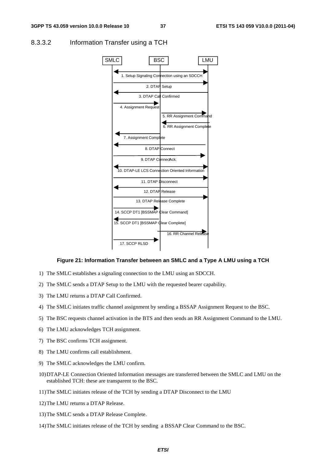

#### 8.3.3.2 Information Transfer using a TCH

#### **Figure 21: Information Transfer between an SMLC and a Type A LMU using a TCH**

- 1) The SMLC establishes a signaling connection to the LMU using an SDCCH.
- 2) The SMLC sends a DTAP Setup to the LMU with the requested bearer capability.
- 3) The LMU returns a DTAP Call Confirmed.
- 4) The SMLC initiates traffic channel assignment by sending a BSSAP Assignment Request to the BSC.
- 5) The BSC requests channel activation in the BTS and then sends an RR Assignment Command to the LMU.
- 6) The LMU acknowledges TCH assignment.
- 7) The BSC confirms TCH assignment.
- 8) The LMU confirms call establishment.
- 9) The SMLC acknowledges the LMU confirm.
- 10) DTAP-LE Connection Oriented Information messages are transferred between the SMLC and LMU on the established TCH: these are transparent to the BSC.
- 11) The SMLC initiates release of the TCH by sending a DTAP Disconnect to the LMU
- 12) The LMU returns a DTAP Release.
- 13) The SMLC sends a DTAP Release Complete.
- 14) The SMLC initiates release of the TCH by sending a BSSAP Clear Command to the BSC.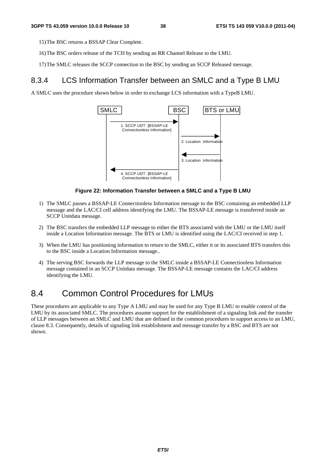15) The BSC returns a BSSAP Clear Complete.

- 16) The BSC orders release of the TCH by sending an RR Channel Release to the LMU.
- 17) The SMLC releases the SCCP connection to the BSC by sending an SCCP Released message.

### 8.3.4 LCS Information Transfer between an SMLC and a Type B LMU

A SMLC uses the procedure shown below in order to exchange LCS information with a TypeB LMU.



#### **Figure 22: Information Transfer between a SMLC and a Type B LMU**

- 1) The SMLC passes a BSSAP-LE Connectionless Information message to the BSC containing an embedded LLP message and the LAC/CI cell address identifying the LMU. The BSSAP-LE message is transferred inside an SCCP Unitdata message.
- 2) The BSC transfers the embedded LLP message to either the BTS associated with the LMU or the LMU itself inside a Location Information message. The BTS or LMU is identified using the LAC/CI received in step 1.
- 3) When the LMU has positioning information to return to the SMLC, either it or its associated BTS transfers this to the BSC inside a Location Information message..
- 4) The serving BSC forwards the LLP message to the SMLC inside a BSSAP-LE Connectionless Information message contained in an SCCP Unitdata message. The BSSAP-LE message contains the LAC/CI address identifying the LMU.

# 8.4 Common Control Procedures for LMUs

These procedures are applicable to any Type A LMU and may be used for any Type B LMU to enable control of the LMU by its associated SMLC. The procedures assume support for the establishment of a signaling link and the transfer of LLP messages between an SMLC and LMU that are defined in the common procedures to support access to an LMU, clause 8.3. Consequently, details of signaling link establishment and message transfer by a BSC and BTS are not shown.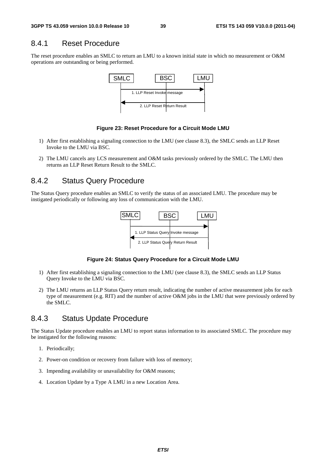### 8.4.1 Reset Procedure

The reset procedure enables an SMLC to return an LMU to a known initial state in which no measurement or O&M operations are outstanding or being performed.



#### **Figure 23: Reset Procedure for a Circuit Mode LMU**

- 1) After first establishing a signaling connection to the LMU (see clause 8.3), the SMLC sends an LLP Reset Invoke to the LMU via BSC.
- 2) The LMU cancels any LCS measurement and O&M tasks previously ordered by the SMLC. The LMU then returns an LLP Reset Return Result to the SMLC.

### 8.4.2 Status Query Procedure

The Status Query procedure enables an SMLC to verify the status of an associated LMU. The procedure may be instigated periodically or following any loss of communication with the LMU.



**Figure 24: Status Query Procedure for a Circuit Mode LMU** 

- 1) After first establishing a signaling connection to the LMU (see clause 8.3), the SMLC sends an LLP Status Query Invoke to the LMU via BSC.
- 2) The LMU returns an LLP Status Query return result, indicating the number of active measurement jobs for each type of measurement (e.g. RIT) and the number of active O&M jobs in the LMU that were previously ordered by the SMLC.

### 8.4.3 Status Update Procedure

The Status Update procedure enables an LMU to report status information to its associated SMLC. The procedure may be instigated for the following reasons:

- 1. Periodically;
- 2. Power-on condition or recovery from failure with loss of memory;
- 3. Impending availability or unavailability for O&M reasons;
- 4. Location Update by a Type A LMU in a new Location Area.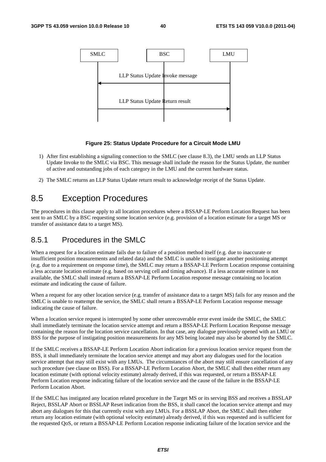

#### **Figure 25: Status Update Procedure for a Circuit Mode LMU**

- 1) After first establishing a signaling connection to the SMLC (see clause 8.3), the LMU sends an LLP Status Update Invoke to the SMLC via BSC. This message shall include the reason for the Status Update, the number of active and outstanding jobs of each category in the LMU and the current hardware status.
- 2) The SMLC returns an LLP Status Update return result to acknowledge receipt of the Status Update.

# 8.5 Exception Procedures

The procedures in this clause apply to all location procedures where a BSSAP-LE Perform Location Request has been sent to an SMLC by a BSC requesting some location service (e.g. provision of a location estimate for a target MS or transfer of assistance data to a target MS).

### 8.5.1 Procedures in the SMLC

When a request for a location estimate fails due to failure of a position method itself (e.g. due to inaccurate or insufficient position measurements and related data) and the SMLC is unable to instigate another positioning attempt (e.g. due to a requirement on response time), the SMLC may return a BSSAP-LE Perform Location response containing a less accurate location estimate (e.g. based on serving cell and timing advance). If a less accurate estimate is not available, the SMLC shall instead return a BSSAP-LE Perform Location response message containing no location estimate and indicating the cause of failure.

When a request for any other location service (e.g. transfer of assistance data to a target MS) fails for any reason and the SMLC is unable to reattempt the service, the SMLC shall return a BSSAP-LE Perform Location response message indicating the cause of failure.

When a location service request is interrupted by some other unrecoverable error event inside the SMLC, the SMLC shall immediately terminate the location service attempt and return a BSSAP-LE Perform Location Response message containing the reason for the location service cancellation. In that case, any dialogue previously opened with an LMU or BSS for the purpose of instigating position measurements for any MS being located may also be aborted by the SMLC.

If the SMLC receives a BSSAP-LE Perform Location Abort indication for a previous location service request from the BSS, it shall immediately terminate the location service attempt and may abort any dialogues used for the location service attempt that may still exist with any LMUs. The circumstances of the abort may still ensure cancellation of any such procedure (see clause on BSS). For a BSSAP-LE Perform Location Abort, the SMLC shall then either return any location estimate (with optional velocity estimate) already derived, if this was requested, or return a BSSAP-LE Perform Location response indicating failure of the location service and the cause of the failure in the BSSAP-LE Perform Location Abort.

If the SMLC has instigated any location related procedure in the Target MS or its serving BSS and receives a BSSLAP Reject, BSSLAP Abort or BSSLAP Reset indication from the BSS, it shall cancel the location service attempt and may abort any dialogues for this that currently exist with any LMUs. For a BSSLAP Abort, the SMLC shall then either return any location estimate (with optional velocity estimate) already derived, if this was requested and is sufficient for the requested QoS, or return a BSSAP-LE Perform Location response indicating failure of the location service and the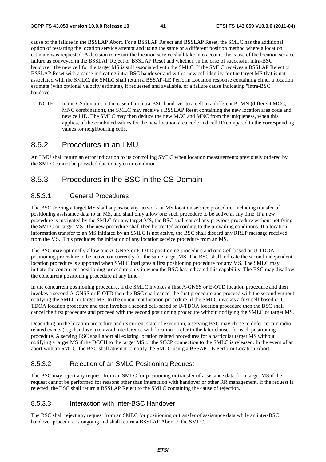cause of the failure in the BSSLAP Abort. For a BSSLAP Reject and BSSLAP Reset, the SMLC has the additional option of restarting the location service attempt and using the same or a different position method where a location estimate was requested. A decision to restart the location service shall take into account the cause of the location service failure as conveyed in the BSSLAP Reject or BSSLAP Reset and whether, in the case of successful intra-BSC handover, the new cell for the target MS is still associated with the SMLC. If the SMLC receives a BSSLAP Reject or BSSLAP Reset with a cause indicating intra-BSC handover and with a new cell identity for the target MS that is not associated with the SMLC, the SMLC shall return a BSSAP-LE Perform Location response containing either a location estimate (with optional velocity estimate), if requested and available, or a failure cause indicating "intra-BSC" handover.

NOTE: In the CS domain, in the case of an intra-BSC handover to a cell in a different PLMN (different MCC, MNC combination), the SMLC may receive a BSSLAP Reset containing the new location area code and new cell ID. The SMLC may then deduce the new MCC and MNC from the uniqueness, when this applies, of the combined values for the new location area code and cell ID compared to the corresponding values for neighbouring cells.

### 8.5.2 Procedures in an LMU

An LMU shall return an error indication to its controlling SMLC when location measurements previously ordered by the SMLC cannot be provided due to any error condition.

# 8.5.3 Procedures in the BSC in the CS Domain

### 8.5.3.1 General Procedures

The BSC serving a target MS shall supervise any network or MS location service procedure, including transfer of positioning assistance data to an MS, and shall only allow one such procedure to be active at any time. If a new procedure is instigated by the SMLC for any target MS, the BSC shall cancel any previous procedure without notifying the SMLC or target MS. The new procedure shall then be treated according to the prevailing conditions. If a location information transfer to an MS initiated by an SMLC is not active, the BSC shall discard any RRLP message received from the MS. This precludes the initiation of any location service procedure from an MS.

The BSC may optionally allow one A-GNSS or E-OTD positioning procedure and one Cell-based or U-TDOA positioning procedure to be active concurrently for the same target MS. The BSC shall indicate the second independent location procedure is supported when SMLC instigates a first positioning procedure for any MS. The SMLC may initiate the concurrent positioning procedure only in when the BSC has indicated this capability. The BSC may disallow the concurrent positioning procedure at any time.

In the concurrent positioning procedure, if the SMLC invokes a first A-GNSS or E-OTD location procedure and then invokes a second A-GNSS or E-OTD then the BSC shall cancel the first procedure and proceed with the second without notifying the SMLC or target MS. In the concurrent location procedure, if the SMLC invokes a first cell-based or U-TDOA location procedure and then invokes a second cell-based or U-TDOA location procedure then the BSC shall cancel the first procedure and proceed with the second positioning procedure without notifying the SMLC or target MS.

Depending on the location procedure and its current state of execution, a serving BSC may chose to defer certain radio related events (e.g. handover) to avoid interference with location – refer to the later clauses for each positioning procedure. A serving BSC shall abort all existing location related procedures for a particular target MS without notifying a target MS if the DCCH to the target MS or the SCCP connection to the SMLC is released. In the event of an abort with an SMLC, the BSC shall attempt to notify the SMLC using a BSSAP-LE Perform Location Abort.

### 8.5.3.2 Rejection of an SMLC Positioning Request

The BSC may reject any request from an SMLC for positioning or transfer of assistance data for a target MS if the request cannot be performed for reasons other than interaction with handover or other RR management. If the request is rejected, the BSC shall return a BSSLAP Reject to the SMLC containing the cause of rejection.

#### 8.5.3.3 Interaction with Inter-BSC Handover

The BSC shall reject any request from an SMLC for positioning or transfer of assistance data while an inter-BSC handover procedure is ongoing and shall return a BSSLAP Abort to the SMLC.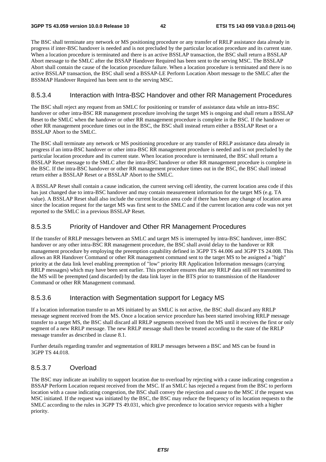The BSC shall terminate any network or MS positioning procedure or any transfer of RRLP assistance data already in progress if inter-BSC handover is needed and is not precluded by the particular location procedure and its current state. When a location procedure is terminated and there is an active BSSLAP transaction, the BSC shall return a BSSLAP Abort message to the SMLC after the BSSAP Handover Required has been sent to the serving MSC. The BSSLAP Abort shall contain the cause of the location procedure failure. When a location procedure is terminated and there is no active BSSLAP transaction, the BSC shall send a BSSAP-LE Perform Location Abort message to the SMLC after the BSSMAP Handover Required has been sent to the serving MSC.

#### 8.5.3.4 Interaction with Intra-BSC Handover and other RR Management Procedures

The BSC shall reject any request from an SMLC for positioning or transfer of assistance data while an intra-BSC handover or other intra-BSC RR management procedure involving the target MS is ongoing and shall return a BSSLAP Reset to the SMLC when the handover or other RR management procedure is complete in the BSC. If the handover or other RR management procedure times out in the BSC, the BSC shall instead return either a BSSLAP Reset or a BSSLAP Abort to the SMLC.

The BSC shall terminate any network or MS positioning procedure or any transfer of RRLP assistance data already in progress if an intra-BSC handover or other intra-BSC RR management procedure is needed and is not precluded by the particular location procedure and its current state. When location procedure is terminated, the BSC shall return a BSSLAP Reset message to the SMLC after the intra-BSC handover or other RR management procedure is complete in the BSC. If the intra-BSC handover or other RR management procedure times out in the BSC, the BSC shall instead return either a BSSLAP Reset or a BSSLAP Abort to the SMLC.

A BSSLAP Reset shall contain a cause indication, the current serving cell identity, the current location area code if this has just changed due to intra-BSC handover and may contain measurement information for the target MS (e.g. TA value). A BSSLAP Reset shall also include the current location area code if there has been any change of location area since the location request for the target MS was first sent to the SMLC and if the current location area code was not yet reported to the SMLC in a previous BSSLAP Reset.

#### 8.5.3.5 Priority of Handover and Other RR Management Procedures

If the transfer of RRLP messages between an SMLC and target MS is interrupted by intra-BSC handover, inter-BSC handover or any other intra-BSC RR management procedure, the BSC shall avoid delay to the handover or RR management procedure by employing the preemption capability defined in 3GPP TS 44.006 and 3GPP TS 24.008. This allows an RR Handover Command or other RR management command sent to the target MS to be assigned a "high" priority at the data link level enabling preemption of "low" priority RR Application Information messages (carrying RRLP messages) which may have been sent earlier. This procedure ensures that any RRLP data still not transmitted to the MS will be preempted (and discarded) by the data link layer in the BTS prior to transmission of the Handover Command or other RR Management command.

#### 8.5.3.6 Interaction with Segmentation support for Legacy MS

If a location information transfer to an MS initiated by an SMLC is not active, the BSC shall discard any RRLP message segment received from the MS. Once a location service procedure has been started involving RRLP message transfer to a target MS, the BSC shall discard all RRLP segments received from the MS until it receives the first or only segment of a new RRLP message. The new RRLP message shall then be treated according to the state of the RRLP message transfer as described in clause 8.1.

Further details regarding transfer and segmentation of RRLP messages between a BSC and MS can be found in 3GPP TS 44.018.

#### 8.5.3.7 Overload

The BSC may indicate an inability to support location due to overload by rejecting with a cause indicating congestion a BSSAP Perform Location request received from the MSC. If an SMLC has rejected a request from the BSC to perform location with a cause indicating congestion, the BSC shall convey the rejection and cause to the MSC if the request was MSC initiated. If the request was initiated by the BSC, the BSC may reduce the frequency of its location requests to the SMLC according to the rules in 3GPP TS 49.031, which give precedence to location service requests with a higher priority.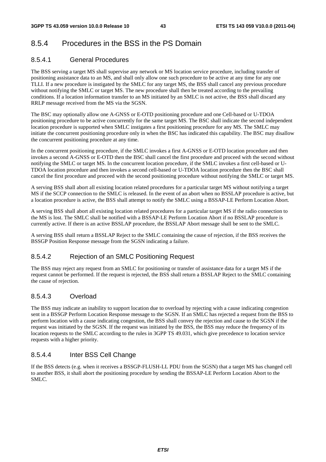# 8.5.4 Procedures in the BSS in the PS Domain

### 8.5.4.1 General Procedures

The BSS serving a target MS shall supervise any network or MS location service procedure, including transfer of positioning assistance data to an MS, and shall only allow one such procedure to be active at any time for any one TLLI. If a new procedure is instigated by the SMLC for any target MS, the BSS shall cancel any previous procedure without notifying the SMLC or target MS. The new procedure shall then be treated according to the prevailing conditions. If a location information transfer to an MS initiated by an SMLC is not active, the BSS shall discard any RRLP message received from the MS via the SGSN.

The BSC may optionally allow one A-GNSS or E-OTD positioning procedure and one Cell-based or U-TDOA positioning procedure to be active concurrently for the same target MS. The BSC shall indicate the second independent location procedure is supported when SMLC instigates a first positioning procedure for any MS. The SMLC may initiate the concurrent positioning procedure only in when the BSC has indicated this capability. The BSC may disallow the concurrent positioning procedure at any time.

In the concurrent positioning procedure, if the SMLC invokes a first A-GNSS or E-OTD location procedure and then invokes a second A-GNSS or E-OTD then the BSC shall cancel the first procedure and proceed with the second without notifying the SMLC or target MS. In the concurrent location procedure, if the SMLC invokes a first cell-based or U-TDOA location procedure and then invokes a second cell-based or U-TDOA location procedure then the BSC shall cancel the first procedure and proceed with the second positioning procedure without notifying the SMLC or target MS.

A serving BSS shall abort all existing location related procedures for a particular target MS without notifying a target MS if the SCCP connection to the SMLC is released. In the event of an abort when no BSSLAP procedure is active, but a location procedure is active, the BSS shall attempt to notify the SMLC using a BSSAP-LE Perform Location Abort.

A serving BSS shall abort all existing location related procedures for a particular target MS if the radio connection to the MS is lost. The SMLC shall be notified with a BSSAP-LE Perform Location Abort if no BSSLAP procedure is currently active. If there is an active BSSLAP procedure, the BSSLAP Abort message shall be sent to the SMLC.

A serving BSS shall return a BSSLAP Reject to the SMLC containing the cause of rejection, if the BSS receives the BSSGP Position Response message from the SGSN indicating a failure.

### 8.5.4.2 Rejection of an SMLC Positioning Request

The BSS may reject any request from an SMLC for positioning or transfer of assistance data for a target MS if the request cannot be performed. If the request is rejected, the BSS shall return a BSSLAP Reject to the SMLC containing the cause of rejection.

### 8.5.4.3 Overload

The BSS may indicate an inability to support location due to overload by rejecting with a cause indicating congestion sent in a BSSGP Perform Location Response message to the SGSN. If an SMLC has rejected a request from the BSS to perform location with a cause indicating congestion, the BSS shall convey the rejection and cause to the SGSN if the request was initiated by the SGSN. If the request was initiated by the BSS, the BSS may reduce the frequency of its location requests to the SMLC according to the rules in 3GPP TS 49.031, which give precedence to location service requests with a higher priority.

### 8.5.4.4 Inter BSS Cell Change

If the BSS detects (e.g. when it receives a BSSGP-FLUSH-LL PDU from the SGSN) that a target MS has changed cell to another BSS, it shall abort the positioning procedure by sending the BSSAP-LE Perform Location Abort to the SMLC.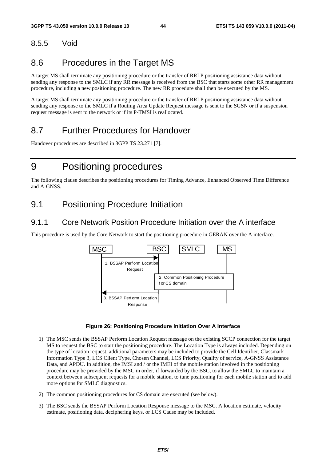# 8.5.5 Void

# 8.6 Procedures in the Target MS

A target MS shall terminate any positioning procedure or the transfer of RRLP positioning assistance data without sending any response to the SMLC if any RR message is received from the BSC that starts some other RR management procedure, including a new positioning procedure. The new RR procedure shall then be executed by the MS.

A target MS shall terminate any positioning procedure or the transfer of RRLP positioning assistance data without sending any response to the SMLC if a Routing Area Update Request message is sent to the SGSN or if a suspension request message is sent to the network or if its P-TMSI is reallocated.

# 8.7 Further Procedures for Handover

Handover procedures are described in 3GPP TS 23.271 [7].

# 9 Positioning procedures

The following clause describes the positioning procedures for Timing Advance, Enhanced Observed Time Difference and A-GNSS.

# 9.1 Positioning Procedure Initiation

### 9.1.1 Core Network Position Procedure Initiation over the A interface

This procedure is used by the Core Network to start the positioning procedure in GERAN over the A interface.



#### **Figure 26: Positioning Procedure Initiation Over A Interface**

- 1) The MSC sends the BSSAP Perform Location Request message on the existing SCCP connection for the target MS to request the BSC to start the positioning procedure. The Location Type is always included. Depending on the type of location request, additional parameters may be included to provide the Cell Identifier, Classmark Information Type 3, LCS Client Type, Chosen Channel, LCS Priority, Quality of service, A-GNSS Assistance Data, and APDU. In addition, the IMSI and / or the IMEI of the mobile station involved in the positioning procedure may be provided by the MSC in order, if forwarded by the BSC, to allow the SMLC to maintain a context between subsequent requests for a mobile station, to tune positioning for each mobile station and to add more options for SMLC diagnostics.
- 2) The common positioning procedures for CS domain are executed (see below).
- 3) The BSC sends the BSSAP Perform Location Response message to the MSC. A location estimate, velocity estimate, positioning data, deciphering keys, or LCS Cause may be included.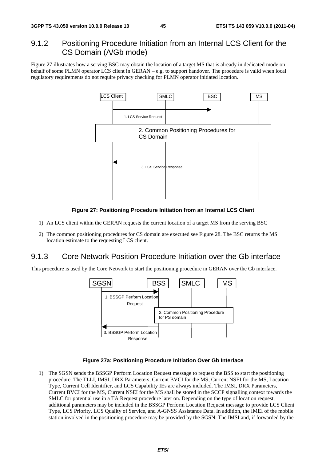### 9.1.2 Positioning Procedure Initiation from an Internal LCS Client for the CS Domain (A/Gb mode)

Figure 27 illustrates how a serving BSC may obtain the location of a target MS that is already in dedicated mode on behalf of some PLMN operator LCS client in GERAN – e.g. to support handover. The procedure is valid when local regulatory requirements do not require privacy checking for PLMN operator initiated location.



#### **Figure 27: Positioning Procedure Initiation from an Internal LCS Client**

- 1) An LCS client within the GERAN requests the current location of a target MS from the serving BSC
- 2) The common positioning procedures for CS domain are executed see Figure 28. The BSC returns the MS location estimate to the requesting LCS client.

### 9.1.3 Core Network Position Procedure Initiation over the Gb interface

This procedure is used by the Core Network to start the positioning procedure in GERAN over the Gb interface.



#### **Figure 27a: Positioning Procedure Initiation Over Gb Interface**

1) The SGSN sends the BSSGP Perform Location Request message to request the BSS to start the positioning procedure. The TLLI, IMSI, DRX Parameters, Current BVCI for the MS, Current NSEI for the MS, Location Type, Current Cell Identifier, and LCS Capability IEs are always included. The IMSI, DRX Parameters, Current BVCI for the MS, Current NSEI for the MS shall be stored in the SCCP signalling context towards the SMLC for potential use in a TA Request procedure later on. Depending on the type of location request, additional parameters may be included in the BSSGP Perform Location Request message to provide LCS Client Type, LCS Priority, LCS Quality of Service, and A-GNSS Assistance Data. In addition, the IMEI of the mobile station involved in the positioning procedure may be provided by the SGSN. The IMSI and, if forwarded by the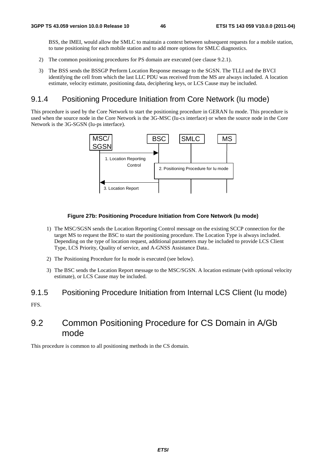BSS, the IMEI, would allow the SMLC to maintain a context between subsequent requests for a mobile station, to tune positioning for each mobile station and to add more options for SMLC diagnostics.

- 2) The common positioning procedures for PS domain are executed (see clause 9.2.1).
- 3) The BSS sends the BSSGP Perform Location Response message to the SGSN. The TLLI and the BVCI identifying the cell from which the last LLC PDU was received from the MS are always included. A location estimate, velocity estimate, positioning data, deciphering keys, or LCS Cause may be included.

### 9.1.4 Positioning Procedure Initiation from Core Network (Iu mode)

This procedure is used by the Core Network to start the positioning procedure in GERAN Iu mode. This procedure is used when the source node in the Core Network is the 3G-MSC (Iu-cs interface) or when the source node in the Core Network is the 3G-SGSN (Iu-ps interface).



#### **Figure 27b: Positioning Procedure Initiation from Core Network (Iu mode)**

- 1) The MSC/SGSN sends the Location Reporting Control message on the existing SCCP connection for the target MS to request the BSC to start the positioning procedure. The Location Type is always included. Depending on the type of location request, additional parameters may be included to provide LCS Client Type, LCS Priority, Quality of service, and A-GNSS Assistance Data..
- 2) The Positioning Procedure for Iu mode is executed (see below).
- 3) The BSC sends the Location Report message to the MSC/SGSN. A location estimate (with optional velocity estimate), or LCS Cause may be included.

### 9.1.5 Positioning Procedure Initiation from Internal LCS Client (Iu mode)

FFS.

# 9.2 Common Positioning Procedure for CS Domain in A/Gb mode

This procedure is common to all positioning methods in the CS domain.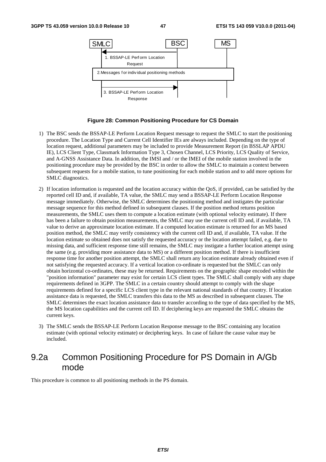

#### **Figure 28: Common Positioning Procedure for CS Domain**

- 1) The BSC sends the BSSAP-LE Perform Location Request message to request the SMLC to start the positioning procedure. The Location Type and Current Cell Identifier IEs are always included. Depending on the type of location request, additional parameters may be included to provide Measurement Report (in BSSLAP APDU IE), LCS Client Type, Classmark Information Type 3, Chosen Channel, LCS Priority, LCS Quality of Service, and A-GNSS Assistance Data. In addition, the IMSI and / or the IMEI of the mobile station involved in the positioning procedure may be provided by the BSC in order to allow the SMLC to maintain a context between subsequent requests for a mobile station, to tune positioning for each mobile station and to add more options for SMLC diagnostics.
- 2) If location information is requested and the location accuracy within the QoS, if provided, can be satisfied by the reported cell ID and, if available, TA value, the SMLC may send a BSSAP-LE Perform Location Response message immediately. Otherwise, the SMLC determines the positioning method and instigates the particular message sequence for this method defined in subsequent clauses. If the position method returns position measurements, the SMLC uses them to compute a location estimate (with optional velocity estimate). If there has been a failure to obtain position measurements, the SMLC may use the current cell ID and, if available, TA value to derive an approximate location estimate. If a computed location estimate is returned for an MS based position method, the SMLC may verify consistency with the current cell ID and, if available, TA value. If the location estimate so obtained does not satisfy the requested accuracy or the location attempt failed, e.g. due to missing data, and sufficient response time still remains, the SMLC may instigate a further location attempt using the same (e.g. providing more assistance data to MS) or a different position method. If there is insufficient response time for another position attempt, the SMLC shall return any location estimate already obtained even if not satisfying the requested accuracy. If a vertical location co-ordinate is requested but the SMLC can only obtain horizontal co-ordinates, these may be returned. Requirements on the geographic shape encoded within the "position information" parameter may exist for certain LCS client types. The SMLC shall comply with any shape requirements defined in 3GPP. The SMLC in a certain country should attempt to comply with the shape requirements defined for a specific LCS client type in the relevant national standards of that country. If location assistance data is requested, the SMLC transfers this data to the MS as described in subsequent clauses. The SMLC determines the exact location assistance data to transfer according to the type of data specified by the MS, the MS location capabilities and the current cell ID. If deciphering keys are requested the SMLC obtains the current keys.
- 3) The SMLC sends the BSSAP-LE Perform Location Response message to the BSC containing any location estimate (with optional velocity estimate) or deciphering keys. In case of failure the cause value may be included.

# 9.2a Common Positioning Procedure for PS Domain in A/Gb mode

This procedure is common to all positioning methods in the PS domain.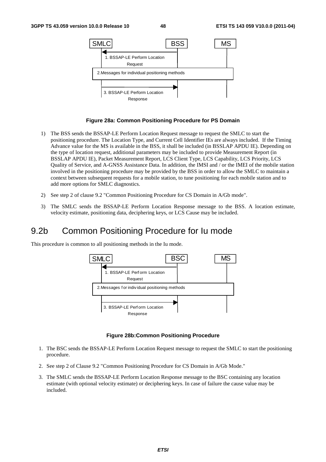

#### **Figure 28a: Common Positioning Procedure for PS Domain**

- 1) The BSS sends the BSSAP-LE Perform Location Request message to request the SMLC to start the positioning procedure. The Location Type, and Current Cell Identifier IEs are always included. If the Timing Advance value for the MS is available in the BSS, it shall be included (in BSSLAP APDU IE). Depending on the type of location request, additional parameters may be included to provide Measurement Report (in BSSLAP APDU IE), Packet Measurement Report, LCS Client Type, LCS Capability, LCS Priority, LCS Quality of Service, and A-GNSS Assistance Data. In addition, the IMSI and / or the IMEI of the mobile station involved in the positioning procedure may be provided by the BSS in order to allow the SMLC to maintain a context between subsequent requests for a mobile station, to tune positioning for each mobile station and to add more options for SMLC diagnostics.
- 2) See step 2 of clause 9.2 "Common Positioning Procedure for CS Domain in A/Gb mode".
- 3) The SMLC sends the BSSAP-LE Perform Location Response message to the BSS. A location estimate, velocity estimate, positioning data, deciphering keys, or LCS Cause may be included.

# 9.2b Common Positioning Procedure for Iu mode

This procedure is common to all positioning methods in the Iu mode.



#### **Figure 28b:Common Positioning Procedure**

- 1. The BSC sends the BSSAP-LE Perform Location Request message to request the SMLC to start the positioning procedure.
- 2. See step 2 of Clause 9.2 "Common Positioning Procedure for CS Domain in A/Gb Mode."
- 3. The SMLC sends the BSSAP-LE Perform Location Response message to the BSC containing any location estimate (with optional velocity estimate) or deciphering keys. In case of failure the cause value may be included.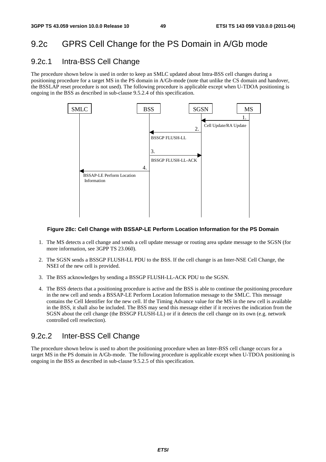# 9.2c GPRS Cell Change for the PS Domain in A/Gb mode

### 9.2c.1 Intra-BSS Cell Change

The procedure shown below is used in order to keep an SMLC updated about Intra-BSS cell changes during a positioning procedure for a target MS in the PS domain in A/Gb-mode (note that unlike the CS domain and handover, the BSSLAP reset procedure is not used). The following procedure is applicable except when U-TDOA positioning is ongoing in the BSS as described in sub-clause 9.5.2.4 of this specification.



#### **Figure 28c: Cell Change with BSSAP-LE Perform Location Information for the PS Domain**

- 1. The MS detects a cell change and sends a cell update message or routing area update message to the SGSN (for more information, see 3GPP TS 23.060).
- 2. The SGSN sends a BSSGP FLUSH-LL PDU to the BSS. If the cell change is an Inter-NSE Cell Change, the NSEI of the new cell is provided.
- 3. The BSS acknowledges by sending a BSSGP FLUSH-LL-ACK PDU to the SGSN.
- 4. The BSS detects that a positioning procedure is active and the BSS is able to continue the positioning procedure in the new cell and sends a BSSAP-LE Perform Location Information message to the SMLC. This message contains the Cell Identifier for the new cell. If the Timing Advance value for the MS in the new cell is available in the BSS, it shall also be included. The BSS may send this message either if it receives the indication from the SGSN about the cell change (the BSSGP FLUSH-LL) or if it detects the cell change on its own (e.g. network controlled cell reselection).

### 9.2c.2 Inter-BSS Cell Change

The procedure shown below is used to abort the positioning procedure when an Inter-BSS cell change occurs for a target MS in the PS domain in A/Gb-mode. The following procedure is applicable except when U-TDOA positioning is ongoing in the BSS as described in sub-clause 9.5.2.5 of this specification.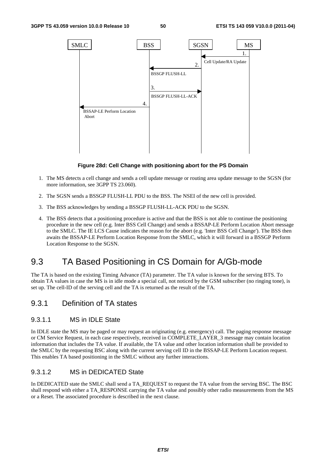

#### **Figure 28d: Cell Change with positioning abort for the PS Domain**

- 1. The MS detects a cell change and sends a cell update message or routing area update message to the SGSN (for more information, see 3GPP TS 23.060).
- 2. The SGSN sends a BSSGP FLUSH-LL PDU to the BSS. The NSEI of the new cell is provided.
- 3. The BSS acknowledges by sending a BSSGP FLUSH-LL-ACK PDU to the SGSN.
- 4. The BSS detects that a positioning procedure is active and that the BSS is not able to continue the positioning procedure in the new cell (e.g. Inter BSS Cell Change) and sends a BSSAP-LE Perform Location Abort message to the SMLC. The IE LCS Cause indicates the reason for the abort (e.g. 'Inter BSS Cell Change'). The BSS then awaits the BSSAP-LE Perform Location Response from the SMLC, which it will forward in a BSSGP Perform Location Response to the SGSN.

# 9.3 TA Based Positioning in CS Domain for A/Gb-mode

The TA is based on the existing Timing Advance (TA) parameter. The TA value is known for the serving BTS. To obtain TA values in case the MS is in idle mode a special call, not noticed by the GSM subscriber (no ringing tone), is set up. The cell-ID of the serving cell and the TA is returned as the result of the TA.

### 9.3.1 Definition of TA states

### 9.3.1.1 MS in IDLE State

In IDLE state the MS may be paged or may request an originating (e.g. emergency) call. The paging response message or CM Service Request, in each case respectively, received in COMPLETE\_LAYER\_3 message may contain location information that includes the TA value. If available, the TA value and other location information shall be provided to the SMLC by the requesting BSC along with the current serving cell ID in the BSSAP-LE Perform Location request. This enables TA based positioning in the SMLC without any further interactions.

### 9.3.1.2 MS in DEDICATED State

In DEDICATED state the SMLC shall send a TA\_REQUEST to request the TA value from the serving BSC. The BSC shall respond with either a TA\_RESPONSE carrying the TA value and possibly other radio measurements from the MS or a Reset. The associated procedure is described in the next clause.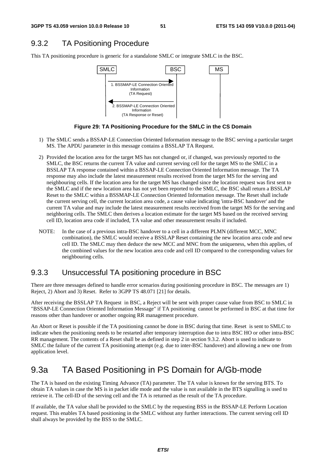# 9.3.2 TA Positioning Procedure

This TA positioning procedure is generic for a standalone SMLC or integrate SMLC in the BSC.



**Figure 29: TA Positioning Procedure for the SMLC in the CS Domain** 

- 1) The SMLC sends a BSSAP-LE Connection Oriented Information message to the BSC serving a particular target MS. The APDU parameter in this message contains a BSSLAP TA Request.
- 2) Provided the location area for the target MS has not changed or, if changed, was previously reported to the SMLC, the BSC returns the current TA value and current serving cell for the target MS to the SMLC in a BSSLAP TA response contained within a BSSAP-LE Connection Oriented Information message. The TA response may also include the latest measurement results received from the target MS for the serving and neighbouring cells. If the location area for the target MS has changed since the location request was first sent to the SMLC and if the new location area has not yet been reported to the SMLC, the BSC shall return a BSSLAP Reset to the SMLC within a BSSMAP-LE Connection Oriented Information message. The Reset shall include the current serving cell, the current location area code, a cause value indicating 'intra-BSC handover' and the current TA value and may include the latest measurement results received from the target MS for the serving and neighboring cells. The SMLC then derives a location estimate for the target MS based on the received serving cell ID, location area code if included, TA value and other measurement results if included.
- NOTE: In the case of a previous intra-BSC handover to a cell in a different PLMN (different MCC, MNC combination), the SMLC would receive a BSSLAP Reset containing the new location area code and new cell ID. The SMLC may then deduce the new MCC and MNC from the uniqueness, when this applies, of the combined values for the new location area code and cell ID compared to the corresponding values for neighbouring cells.

### 9.3.3 Unsuccessful TA positioning procedure in BSC

There are three messages defined to handle error scenarios during positioning procedure in BSC. The messages are 1) Reject, 2) Abort and 3) Reset. Refer to 3GPP TS 48.071 [21] for details.

After receiving the BSSLAP TA Request in BSC, a Reject will be sent with proper cause value from BSC to SMLC in "BSSAP-LE Connection Oriented Information Message" if TA positioning cannot be performed in BSC at that time for reasons other than handover or another ongoing RR management procedure.

An Abort or Reset is possible if the TA positioning cannot be done in BSC during that time. Reset is sent to SMLC to indicate when the positioning needs to be restarted after temporary interruption due to intra BSC HO or other intra-BSC RR management. The contents of a Reset shall be as defined in step 2 in section 9.3.2. Abort is used to indicate to SMLC the failure of the current TA positioning attempt (e.g. due to inter-BSC handover) and allowing a new one from application level.

# 9.3a TA Based Positioning in PS Domain for A/Gb-mode

The TA is based on the existing Timing Advance (TA) parameter. The TA value is known for the serving BTS. To obtain TA values in case the MS is in packet idle mode and the value is not available in the BTS signalling is used to retrieve it. The cell-ID of the serving cell and the TA is returned as the result of the TA procedure.

If available, the TA value shall be provided to the SMLC by the requesting BSS in the BSSAP-LE Perform Location request. This enables TA based positioning in the SMLC without any further interactions. The current serving cell ID shall always be provided by the BSS to the SMLC.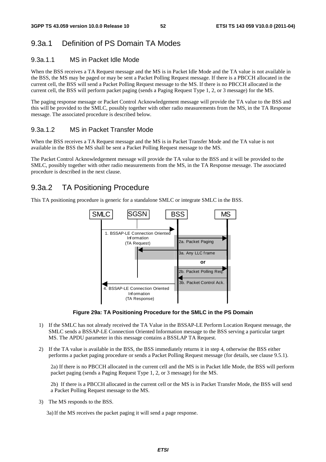## 9.3a.1 Definition of PS Domain TA Modes

### 9.3a.1.1 MS in Packet Idle Mode

When the BSS receives a TA Request message and the MS is in Packet Idle Mode and the TA value is not available in the BSS, the MS may be paged or may be sent a Packet Polling Request message. If there is a PBCCH allocated in the current cell, the BSS will send a Packet Polling Request message to the MS. If there is no PBCCH allocated in the current cell, the BSS will perform packet paging (sends a Paging Request Type 1, 2, or 3 message) for the MS.

The paging response message or Packet Control Acknowledgement message will provide the TA value to the BSS and this will be provided to the SMLC, possibly together with other radio measurements from the MS, in the TA Response message. The associated procedure is described below.

### 9.3a.1.2 MS in Packet Transfer Mode

When the BSS receives a TA Request message and the MS is in Packet Transfer Mode and the TA value is not available in the BSS the MS shall be sent a Packet Polling Request message to the MS.

The Packet Control Acknowledgement message will provide the TA value to the BSS and it will be provided to the SMLC, possibly together with other radio measurements from the MS, in the TA Response message. The associated procedure is described in the next clause.

### 9.3a.2 TA Positioning Procedure

This TA positioning procedure is generic for a standalone SMLC or integrate SMLC in the BSS.



**Figure 29a: TA Positioning Procedure for the SMLC in the PS Domain** 

- 1) If the SMLC has not already received the TA Value in the BSSAP-LE Perform Location Request message, the SMLC sends a BSSAP-LE Connection Oriented Information message to the BSS serving a particular target MS. The APDU parameter in this message contains a BSSLAP TA Request.
- 2) If the TA value is available in the BSS, the BSS immediately returns it in step 4, otherwise the BSS either performs a packet paging procedure or sends a Packet Polling Request message (for details, see clause 9.5.1).

2a) If there is no PBCCH allocated in the current cell and the MS is in Packet Idle Mode, the BSS will perform packet paging (sends a Paging Request Type 1, 2, or 3 message) for the MS.

2b) If there is a PBCCH allocated in the current cell or the MS is in Packet Transfer Mode, the BSS will send a Packet Polling Request message to the MS.

3) The MS responds to the BSS.

3a) If the MS receives the packet paging it will send a page response.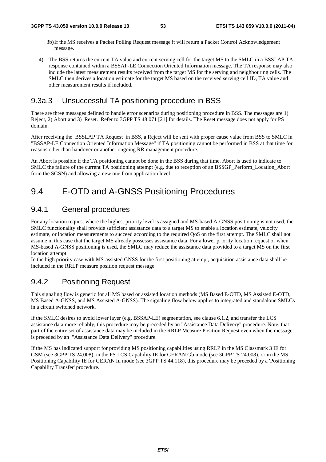- 3b) If the MS receives a Packet Polling Request message it will return a Packet Control Acknowledgement message.
- 4) The BSS returns the current TA value and current serving cell for the target MS to the SMLC in a BSSLAP TA response contained within a BSSAP-LE Connection Oriented Information message. The TA response may also include the latest measurement results received from the target MS for the serving and neighbouring cells. The SMLC then derives a location estimate for the target MS based on the received serving cell ID, TA value and other measurement results if included.

### 9.3a.3 Unsuccessful TA positioning procedure in BSS

There are three messages defined to handle error scenarios during positioning procedure in BSS. The messages are 1) Reject, 2) Abort and 3) Reset. Refer to 3GPP TS 48.071 [21] for details. The Reset message does not apply for PS domain.

After receiving the BSSLAP TA Request in BSS, a Reject will be sent with proper cause value from BSS to SMLC in "BSSAP-LE Connection Oriented Information Message" if TA positioning cannot be performed in BSS at that time for reasons other than handover or another ongoing RR management procedure.

An Abort is possible if the TA positioning cannot be done in the BSS during that time. Abort is used to indicate to SMLC the failure of the current TA positioning attempt (e.g. due to reception of an BSSGP\_Perform\_Location\_Abort from the SGSN) and allowing a new one from application level.

# 9.4 E-OTD and A-GNSS Positioning Procedures

### 9.4.1 General procedures

For any location request where the highest priority level is assigned and MS-based A-GNSS positioning is not used, the SMLC functionality shall provide sufficient assistance data to a target MS to enable a location estimate, velocity estimate, or location measurements to succeed according to the required QoS on the first attempt. The SMLC shall not assume in this case that the target MS already possesses assistance data. For a lower priority location request or when MS-based A-GNSS positioning is used, the SMLC may reduce the assistance data provided to a target MS on the first location attempt.

In the high priority case with MS-assisted GNSS for the first positioning attempt, acquisition assistance data shall be included in the RRLP measure position request message.

# 9.4.2 Positioning Request

This signaling flow is generic for all MS based or assisted location methods (MS Based E-OTD, MS Assisted E-OTD, MS Based A-GNSS, and MS Assisted A-GNSS). The signaling flow below applies to integrated and standalone SMLCs in a circuit switched network.

If the SMLC desires to avoid lower layer (e.g. BSSAP-LE) segmentation, see clause 6.1.2, and transfer the LCS assistance data more reliably, this procedure may be preceded by an "Assistance Data Delivery" procedure. Note, that part of the entire set of assistance data may be included in the RRLP Measure Position Request even when the message is preceded by an "Assistance Data Delivery" procedure.

If the MS has indicated support for providing MS positioning capabilities using RRLP in the MS Classmark 3 IE for GSM (see 3GPP TS 24.008), in the PS LCS Capability IE for GERAN Gb mode (see 3GPP TS 24.008), or in the MS Positioning Capability IE for GERAN Iu mode (see 3GPP TS 44.118), this procedure may be preceded by a 'Positioning Capability Transfer' procedure.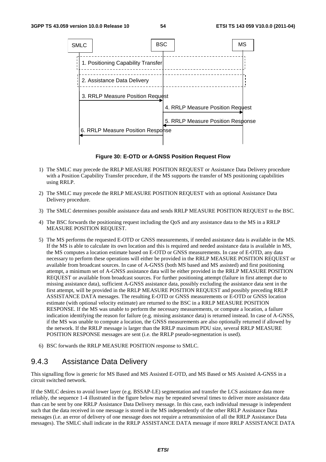

**Figure 30: E-OTD or A-GNSS Position Request Flow** 

- 1) The SMLC may precede the RRLP MEASURE POSITION REQUEST or Assistance Data Delivery procedure with a Position Capability Transfer procedure, if the MS supports the transfer of MS positioning capabilities using RRLP.
- 2) The SMLC may precede the RRLP MEASURE POSITION REQUEST with an optional Assistance Data Delivery procedure.
- 3) The SMLC determines possible assistance data and sends RRLP MEASURE POSITION REQUEST to the BSC.
- 4) The BSC forwards the positioning request including the QoS and any assistance data to the MS in a RRLP MEASURE POSITION REQUEST.
- 5) The MS performs the requested E-OTD or GNSS measurements, if needed assistance data is available in the MS. If the MS is able to calculate its own location and this is required and needed assistance data is available in MS, the MS computes a location estimate based on E-OTD or GNSS measurements. In case of E-OTD, any data necessary to perform these operations will either be provided in the RRLP MEASURE POSITION REQUEST or available from broadcast sources. In case of A-GNSS (both MS based and MS assisted) and first positioning attempt, a minimum set of A-GNSS assistance data will be either provided in the RRLP MEASURE POSITION REQUEST or available from broadcast sources. For further positioning attempt (failure in first attempt due to missing assistance data), sufficient A-GNSS assistance data, possibly excluding the assistance data sent in the first attempt, will be provided in the RRLP MEASURE POSITION REQUEST and possibly preceding RRLP ASSISTANCE DATA messages. The resulting E-OTD or GNSS measurements or E-OTD or GNSS location estimate (with optional velocity estimate) are returned to the BSC in a RRLP MEASURE POSITION RESPONSE. If the MS was unable to perform the necessary measurements, or compute a location, a failure indication identifying the reason for failure (e.g. missing assistance data) is returned instead. In case of A-GNSS, if the MS was unable to compute a location, the GNSS measurements are also optionally returned if allowed by the network. If the RRLP message is larger than the RRLP maximum PDU size, several RRLP MEASURE POSITION RESPONSE messages are sent (i.e. the RRLP pseudo-segmentation is used).
- 6) BSC forwards the RRLP MEASURE POSITION response to SMLC.

### 9.4.3 Assistance Data Delivery

This signalling flow is generic for MS Based and MS Assisted E-OTD, and MS Based or MS Assisted A-GNSS in a circuit switched network.

If the SMLC desires to avoid lower layer (e.g. BSSAP-LE) segmentation and transfer the LCS assistance data more reliably, the sequence 1-4 illustrated in the figure below may be repeated several times to deliver more assistance data than can be sent by one RRLP Assistance Data Delivery message. In this case, each individual message is independent such that the data received in one message is stored in the MS independently of the other RRLP Assistance Data messages (i.e. an error of delivery of one message does not require a retransmission of all the RRLP Assistance Data messages). The SMLC shall indicate in the RRLP ASSISTANCE DATA message if more RRLP ASSISTANCE DATA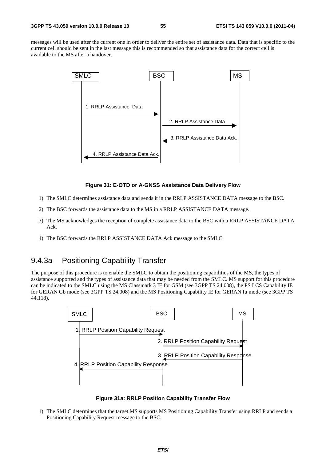messages will be used after the current one in order to deliver the entire set of assistance data. Data that is specific to the current cell should be sent in the last message this is recommended so that assistance data for the correct cell is available to the MS after a handover.



#### **Figure 31: E-OTD or A-GNSS Assistance Data Delivery Flow**

- 1) The SMLC determines assistance data and sends it in the RRLP ASSISTANCE DATA message to the BSC.
- 2) The BSC forwards the assistance data to the MS in a RRLP ASSISTANCE DATA message.
- 3) The MS acknowledges the reception of complete assistance data to the BSC with a RRLP ASSISTANCE DATA Ack.
- 4) The BSC forwards the RRLP ASSISTANCE DATA Ack message to the SMLC.

### 9.4.3a Positioning Capability Transfer

The purpose of this procedure is to enable the SMLC to obtain the positioning capabilities of the MS, the types of assistance supported and the types of assistance data that may be needed from the SMLC. MS support for this procedure can be indicated to the SMLC using the MS Classmark 3 IE for GSM (see 3GPP TS 24.008), the PS LCS Capability IE for GERAN Gb mode (see 3GPP TS 24.008) and the MS Positioning Capability IE for GERAN Iu mode (see 3GPP TS 44.118).



**Figure 31a: RRLP Position Capability Transfer Flow** 

1) The SMLC determines that the target MS supports MS Positioning Capability Transfer using RRLP and sends a Positioning Capability Request message to the BSC.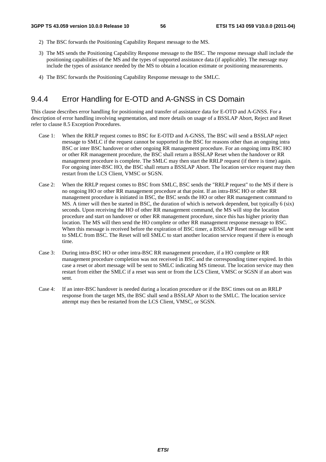- 2) The BSC forwards the Positioning Capability Request message to the MS.
- 3) The MS sends the Positioning Capability Response message to the BSC. The response message shall include the positioning capabilities of the MS and the types of supported assistance data (if applicable). The message may include the types of assistance needed by the MS to obtain a location estimate or positioning measurements.
- 4) The BSC forwards the Positioning Capability Response message to the SMLC.

# 9.4.4 Error Handling for E-OTD and A-GNSS in CS Domain

This clause describes error handling for positioning and transfer of assistance data for E-OTD and A-GNSS. For a description of error handling involving segmentation, and more details on usage of a BSSLAP Abort, Reject and Reset refer to clause 8.5 Exception Procedures.

- Case 1: When the RRLP request comes to BSC for E-OTD and A-GNSS, The BSC will send a BSSLAP reject message to SMLC if the request cannot be supported in the BSC for reasons other than an ongoing intra BSC or inter BSC handover or other ongoing RR management procedure. For an ongoing intra BSC HO or other RR management procedure, the BSC shall return a BSSLAP Reset when the handover or RR management procedure is complete. The SMLC may then start the RRLP request (if there is time) again. For ongoing inter-BSC HO, the BSC shall return a BSSLAP Abort. The location service request may then restart from the LCS Client, VMSC or SGSN.
- Case 2: When the RRLP request comes to BSC from SMLC, BSC sends the "RRLP request" to the MS if there is no ongoing HO or other RR management procedure at that point. If an intra-BSC HO or other RR management procedure is initiated in BSC, the BSC sends the HO or other RR management command to MS. A timer will then be started in BSC, the duration of which is network dependent, but typically 6 (six) seconds. Upon receiving the HO of other RR management command, the MS will stop the location procedure and start on handover or other RR management procedure, since this has higher priority than location. The MS will then send the HO complete or other RR management response message to BSC. When this message is received before the expiration of BSC timer, a BSSLAP Reset message will be sent to SMLC from BSC. The Reset will tell SMLC to start another location service request if there is enough time.
- Case 3: During intra-BSC HO or other intra-BSC RR management procedure, if a HO complete or RR management procedure completion was not received in BSC and the corresponding timer expired. In this case a reset or abort message will be sent to SMLC indicating MS timeout. The location service may then restart from either the SMLC if a reset was sent or from the LCS Client, VMSC or SGSN if an abort was sent.
- Case 4: If an inter-BSC handover is needed during a location procedure or if the BSC times out on an RRLP response from the target MS, the BSC shall send a BSSLAP Abort to the SMLC. The location service attempt may then be restarted from the LCS Client, VMSC, or SGSN.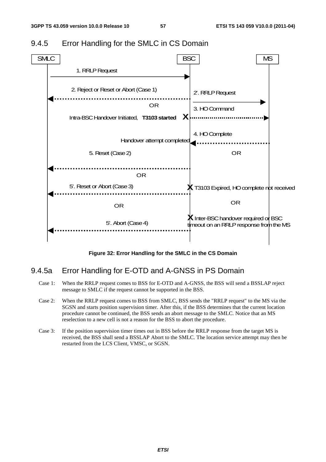

### 9.4.5 Error Handling for the SMLC in CS Domain

**Figure 32: Error Handling for the SMLC in the CS Domain** 

### 9.4.5a Error Handling for E-OTD and A-GNSS in PS Domain

- Case 1: When the RRLP request comes to BSS for E-OTD and A-GNSS, the BSS will send a BSSLAP reject message to SMLC if the request cannot be supported in the BSS.
- Case 2: When the RRLP request comes to BSS from SMLC, BSS sends the "RRLP request" to the MS via the SGSN and starts position supervision timer. After this, if the BSS determines that the current location procedure cannot be continued, the BSS sends an abort message to the SMLC. Notice that an MS reselection to a new cell is not a reason for the BSS to abort the procedure.
- Case 3: If the position supervision timer times out in BSS before the RRLP response from the target MS is received, the BSS shall send a BSSLAP Abort to the SMLC. The location service attempt may then be restarted from the LCS Client, VMSC, or SGSN.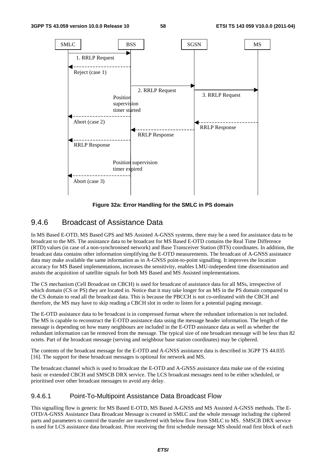

**Figure 32a: Error Handling for the SMLC in PS domain** 

# 9.4.6 Broadcast of Assistance Data

In MS Based E-OTD, MS Based GPS and MS Assisted A-GNSS systems, there may be a need for assistance data to be broadcast to the MS. The assistance data to be broadcast for MS Based E-OTD contains the Real Time Difference (RTD) values (in case of a non-synchronised network) and Base Transceiver Station (BTS) coordinates. In addition, the broadcast data contains other information simplifying the E-OTD measurements. The broadcast of A-GNSS assistance data may make available the same information as in A-GNSS point-to-point signalling. It improves the location accuracy for MS Based implementations, increases the sensitivity, enables LMU-independent time dissemination and assists the acquisition of satellite signals for both MS Based and MS Assisted implementations.

The CS mechanism (Cell Broadcast on CBCH) is used for broadcast of assistance data for all MSs, irrespective of which domain (CS or PS) they are located in. Notice that it may take longer for an MS in the PS domain compared to the CS domain to read all the broadcast data. This is because the PBCCH is not co-ordinated with the CBCH and therefore, the MS may have to skip reading a CBCH slot in order to listen for a potential paging message.

The E-OTD assistance data to be broadcast is in compressed format where the redundant information is not included. The MS is capable to reconstruct the E-OTD assistance data using the message header information. The length of the message is depending on how many neighbours are included in the E-OTD assistance data as well as whether the redundant information can be removed from the message. The typical size of one broadcast message will be less than 82 octets. Part of the broadcast message (serving and neighbour base station coordinates) may be ciphered.

The contents of the broadcast message for the E-OTD and A-GNSS assistance data is described in 3GPP TS 44.035 [16]. The support for these broadcast messages is optional for network and MS.

The broadcast channel which is used to broadcast the E-OTD and A-GNSS assistance data make use of the existing basic or extended CBCH and SMSCB DRX service. The LCS broadcast messages need to be either scheduled, or prioritised over other broadcast messages to avoid any delay.

### 9.4.6.1 Point-To-Multipoint Assistance Data Broadcast Flow

This signalling flow is generic for MS Based E-OTD, MS Based A-GNSS and MS Assisted A-GNSS methods. The E-OTD/A-GNSS Assistance Data Broadcast Message is created in SMLC and the whole message including the ciphered parts and parameters to control the transfer are transferred with below flow from SMLC to MS. SMSCB DRX service is used for LCS assistance data broadcast. Prior receiving the first schedule message MS should read first block of each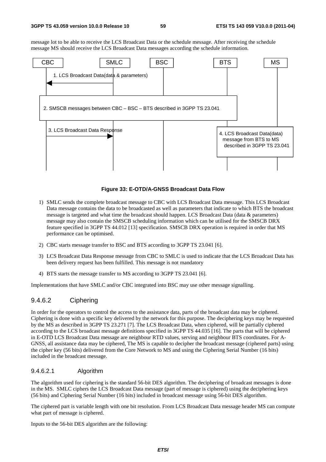message lot to be able to receive the LCS Broadcast Data or the schedule message. After receiving the schedule message MS should receive the LCS Broadcast Data messages according the schedule information.



#### **Figure 33: E-OTD/A-GNSS Broadcast Data Flow**

- 1) SMLC sends the complete broadcast message to CBC with LCS Broadcast Data message. This LCS Broadcast Data message contains the data to be broadcasted as well as parameters that indicate to which BTS the broadcast message is targeted and what time the broadcast should happen. LCS Broadcast Data (data & parameters) message may also contain the SMSCB scheduling information which can be utilised for the SMSCB DRX feature specified in 3GPP TS 44.012 [13] specification. SMSCB DRX operation is required in order that MS performance can be optimised.
- 2) CBC starts message transfer to BSC and BTS according to 3GPP TS 23.041 [6].
- 3) LCS Broadcast Data Response message from CBC to SMLC is used to indicate that the LCS Broadcast Data has been delivery request has been fulfilled. This message is not mandatory
- 4) BTS starts the message transfer to MS according to 3GPP TS 23.041 [6].

Implementations that have SMLC and/or CBC integrated into BSC may use other message signalling.

### 9.4.6.2 Ciphering

In order for the operators to control the access to the assistance data, parts of the broadcast data may be ciphered. Ciphering is done with a specific key delivered by the network for this purpose. The deciphering keys may be requested by the MS as described in 3GPP TS 23.271 [7]. The LCS Broadcast Data, when ciphered, will be partially ciphered according to the LCS broadcast message definitions specified in 3GPP TS 44.035 [16]. The parts that will be ciphered in E-OTD LCS Broadcast Data message are neighbour RTD values, serving and neighbour BTS coordinates. For A-GNSS, all assistance data may be ciphered, The MS is capable to decipher the broadcast message (ciphered parts) using the cipher key (56 bits) delivered from the Core Network to MS and using the Ciphering Serial Number (16 bits) included in the broadcast message.

#### 9.4.6.2.1 Algorithm

The algorithm used for ciphering is the standard 56-bit DES algorithm. The deciphering of broadcast messages is done in the MS. SMLC ciphers the LCS Broadcast Data message (part of message is ciphered) using the deciphering keys (56 bits) and Ciphering Serial Number (16 bits) included in broadcast message using 56-bit DES algorithm.

The ciphered part is variable length with one bit resolution. From LCS Broadcast Data message header MS can compute what part of message is ciphered.

Inputs to the 56-bit DES algorithm are the following: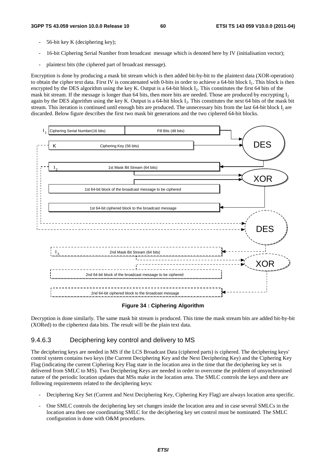- 56-bit key K (deciphering key);
- 16-bit Ciphering Serial Number from broadcast message which is denoted here by IV (initialisation vector);
- plaintext bits (the ciphered part of broadcast message).

Encryption is done by producing a mask bit stream which is then added bit-by-bit to the plaintext data (XOR-operation) to obtain the cipher text data. First IV is concatenated with 0-bits in order to achieve a 64-bit block I<sub>1</sub>. This block is then encrypted by the DES algorithm using the key K. Output is a 64-bit block  $I_2$ . This constitutes the first 64 bits of the mask bit stream. If the message is longer than 64 bits, then more bits are needed. Those are produced by encrypting  $I_2$ again by the DES algorithm using the key K. Output is a 64-bit block  $I_3$ . This constitutes the next 64 bits of the mask bit stream. This iteration is continued until enough bits are produced. The unnecessary bits from the last  $64$ -bit block  $I_i$  are discarded. Below figure describes the first two mask bit generations and the two ciphered 64-bit blocks.



#### **Figure 34 : Ciphering Algorithm**

Decryption is done similarly. The same mask bit stream is produced. This time the mask stream bits are added bit-by-bit (XORed) to the ciphertext data bits. The result will be the plain text data.

#### 9.4.6.3 Deciphering key control and delivery to MS

The deciphering keys are needed in MS if the LCS Broadcast Data (ciphered parts) is ciphered. The deciphering keys' control system contains two keys (the Current Deciphering Key and the Next Deciphering Key) and the Ciphering Key Flag (indicating the current Ciphering Key Flag state in the location area in the time that the deciphering key set is delivered from SMLC to MS). Two Deciphering Keys are needed in order to overcome the problem of unsynchronised nature of the periodic location updates that MSs make in the location area. The SMLC controls the keys and there are following requirements related to the deciphering keys:

- Deciphering Key Set (Current and Next Deciphering Key, Ciphering Key Flag) are always location area specific.
- One SMLC controls the deciphering key set changes inside the location area and in case several SMLCs in the location area then one coordinating SMLC for the deciphering key set control must be nominated. The SMLC configuration is done with O&M procedures.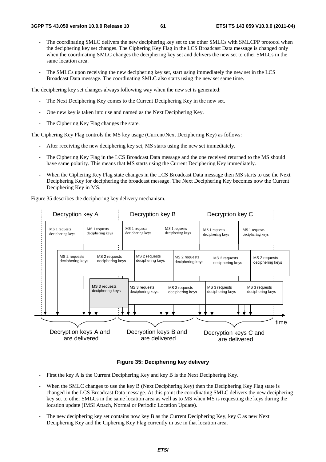- The coordinating SMLC delivers the new deciphering key set to the other SMLCs with SMLCPP protocol when the deciphering key set changes. The Ciphering Key Flag in the LCS Broadcast Data message is changed only when the coordinating SMLC changes the deciphering key set and delivers the new set to other SMLCs in the same location area.
- The SMLCs upon receiving the new deciphering key set, start using immediately the new set in the LCS Broadcast Data message. The coordinating SMLC also starts using the new set same time.

The deciphering key set changes always following way when the new set is generated:

- The Next Deciphering Key comes to the Current Deciphering Key in the new set.
- One new key is taken into use and named as the Next Deciphering Key.
- The Ciphering Key Flag changes the state.

The Ciphering Key Flag controls the MS key usage (Current/Next Deciphering Key) as follows:

- After receiving the new deciphering key set, MS starts using the new set immediately.
- The Ciphering Key Flag in the LCS Broadcast Data message and the one received returned to the MS should have same polarity. This means that MS starts using the Current Deciphering Key immediately.
- When the Ciphering Key Flag state changes in the LCS Broadcast Data message then MS starts to use the Next Deciphering Key for deciphering the broadcast message. The Next Deciphering Key becomes now the Current Deciphering Key in MS.

Figure 35 describes the deciphering key delivery mechanism.



#### **Figure 35: Deciphering key delivery**

- First the key A is the Current Deciphering Key and key B is the Next Deciphering Key.
- When the SMLC changes to use the key B (Next Deciphering Key) then the Deciphering Key Flag state is changed in the LCS Broadcast Data message. At this point the coordinating SMLC delivers the new deciphering key set to other SMLCs in the same location area as well as to MS when MS is requesting the keys during the location update (IMSI Attach, Normal or Periodic Location Update).
- The new deciphering key set contains now key B as the Current Deciphering Key, key C as new Next Deciphering Key and the Ciphering Key Flag currently in use in that location area.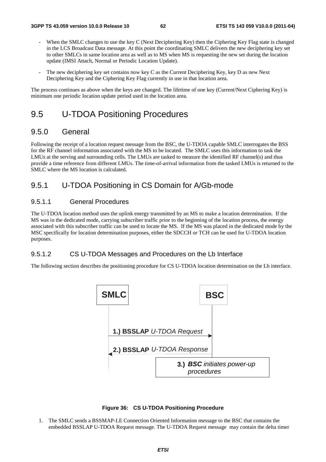- When the SMLC changes to use the key C (Next Deciphering Key) then the Ciphering Key Flag state is changed in the LCS Broadcast Data message. At this point the coordinating SMLC delivers the new deciphering key set to other SMLCs in same location area as well as to MS when MS is requesting the new set during the location update (IMSI Attach, Normal or Periodic Location Update).
- The new deciphering key set contains now key C as the Current Deciphering Key, key D as new Next Deciphering Key and the Ciphering Key Flag currently in use in that location area.

The process continues as above when the keys are changed. The lifetime of one key (Current/Next Ciphering Key) is minimum one periodic location update period used in the location area.

# 9.5 U-TDOA Positioning Procedures

### 9.5.0 General

Following the receipt of a location request message from the BSC, the U-TDOA capable SMLC interrogates the BSS for the RF channel information associated with the MS to be located. The SMLC uses this information to task the LMUs at the serving and surrounding cells. The LMUs are tasked to measure the identified RF channel(s) and thus provide a time reference from different LMUs. The time-of-arrival information from the tasked LMUs is returned to the SMLC where the MS location is calculated.

## 9.5.1 U-TDOA Positioning in CS Domain for A/Gb-mode

### 9.5.1.1 General Procedures

The U-TDOA location method uses the uplink energy transmitted by an MS to make a location determination. If the MS was in the dedicated mode, carrying subscriber traffic prior to the beginning of the location process, the energy associated with this subscriber traffic can be used to locate the MS. If the MS was placed in the dedicated mode by the MSC specifically for location determination purposes, either the SDCCH or TCH can be used for U-TDOA location purposes.

#### 9.5.1.2 CS U-TDOA Messages and Procedures on the Lb Interface

The following section describes the positioning procedure for CS U-TDOA location determination on the Lb interface.



#### **Figure 36: CS U-TDOA Positioning Procedure**

1. The SMLC sends a BSSMAP-LE Connection Oriented Information message to the BSC that contains the embedded BSSLAP U-TDOA Request message. The U-TDOA Request message may contain the delta timer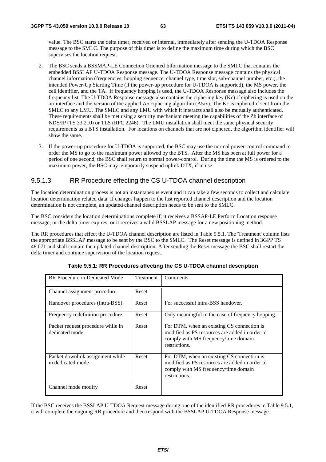value. The BSC starts the delta timer, received or internal, immediately after sending the U-TDOA Response message to the SMLC. The purpose of this timer is to define the maximum time during which the BSC supervises the location request.

- 2. The BSC sends a BSSMAP-LE Connection Oriented Information message to the SMLC that contains the embedded BSSLAP U-TDOA Response message. The U-TDOA Response message contains the physical channel information (frequencies, hopping sequence, channel type, time slot, sub-channel number, etc.), the intended Power-Up Starting Time (if the power-up procedure for U-TDOA is supported), the MS power, the cell identifier, and the TA. If frequency hopping is used, the U-TDOA Response message also includes the frequency list. The U-TDOA Response message also contains the ciphering key (Kc) if ciphering is used on the air interface and the version of the applied A5 ciphering algorithm (A5/x). The Kc is ciphered if sent from the SMLC to any LMU. The SMLC and any LMU with which it interacts shall also be mutually authenticated. These requirements shall be met using a security mechanism meeting the capabilities of the Zb interface of NDS/IP (TS 33.210) or TLS (RFC 2246). The LMU installation shall meet the same physical security requirements as a BTS installation. For locations on channels that are not ciphered, the algorithm identifier will show the same.
- 3. If the power-up procedure for U-TDOA is supported, the BSC may use the normal power-control command to order the MS to go to the maximum power allowed by the BTS. After the MS has been at full power for a period of one second, the BSC shall return to normal power-control. During the time the MS is ordered to the maximum power, the BSC may temporarily suspend uplink DTX, if in use.

### 9.5.1.3 RR Procedure effecting the CS U-TDOA channel description

The location determination process is not an instantaneous event and it can take a few seconds to collect and calculate location determination related data. If changes happen to the last reported channel description and the location determination is not complete, an updated channel description needs to be sent to the SMLC.

The BSC considers the location determinations complete if; it receives a BSSAP-LE Perform Location response message; or the delta timer expires; or it receives a valid BSSLAP message for a new positioning method.

The RR procedures that effect the U-TDOA channel description are listed in Table 9.5.1. The 'Treatment' column lists the appropriate BSSLAP message to be sent by the BSC to the SMLC. The Reset message is defined in 3GPP TS 48.071 and shall contain the updated channel description. After sending the Reset message the BSC shall restart the delta timer and continue supervision of the location request.

| RR Procedure in Dedicated Mode                        | Treatment | Comments                                                                                                                                              |
|-------------------------------------------------------|-----------|-------------------------------------------------------------------------------------------------------------------------------------------------------|
| Channel assignment procedure.                         | Reset     |                                                                                                                                                       |
| Handover procedures (intra-BSS).                      | Reset     | For successful intra-BSS handover.                                                                                                                    |
| Frequency redefinition procedure.                     | Reset     | Only meaningful in the case of frequency hopping.                                                                                                     |
| Packet request procedure while in<br>dedicated mode.  | Reset     | For DTM, when an existing CS connection is<br>modified as PS resources are added in order to<br>comply with MS frequency/time domain<br>restrictions. |
| Packet downlink assignment while<br>in dedicated mode | Reset     | For DTM, when an existing CS connection is<br>modified as PS resources are added in order to<br>comply with MS frequency/time domain<br>restrictions. |
| Channel mode modify                                   | Reset     |                                                                                                                                                       |

**Table 9.5.1: RR Procedures affecting the CS U-TDOA channel description** 

If the BSC receives the BSSLAP U-TDOA Request message during one of the identified RR procedures in Table 9.5.1, it will complete the ongoing RR procedure and then respond with the BSSLAP U-TDOA Response message.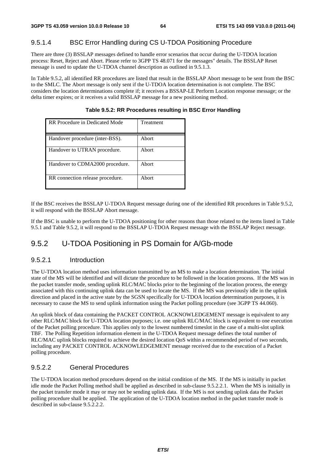### 9.5.1.4 BSC Error Handling during CS U-TDOA Positioning Procedure

There are three (3) BSSLAP messages defined to handle error scenarios that occur during the U-TDOA location process: Reset, Reject and Abort. Please refer to 3GPP TS 48.071 for the messages" details. The BSSLAP Reset message is used to update the U-TDOA channel description as outlined in 9.5.1.3.

In Table 9.5.2, all identified RR procedures are listed that result in the BSSLAP Abort message to be sent from the BSC to the SMLC. The Abort message is only sent if the U-TDOA location determination is not complete. The BSC considers the location determinations complete if; it receives a BSSAP-LE Perform Location response message; or the delta timer expires; or it receives a valid BSSLAP message for a new positioning method.

| RR Procedure in Dedicated Mode   | Treatment |
|----------------------------------|-----------|
| Handover procedure (inter-BSS).  | Abort     |
| Handover to UTRAN procedure.     | Abort     |
| Handover to CDMA2000 procedure.  | Abort     |
| RR connection release procedure. | Abort     |

**Table 9.5.2: RR Procedures resulting in BSC Error Handling** 

If the BSC receives the BSSLAP U-TDOA Request message during one of the identified RR procedures in Table 9.5.2, it will respond with the BSSLAP Abort message.

If the BSC is unable to perform the U-TDOA positioning for other reasons than those related to the items listed in Table 9.5.1 and Table 9.5.2, it will respond to the BSSLAP U-TDOA Request message with the BSSLAP Reject message.

# 9.5.2 U-TDOA Positioning in PS Domain for A/Gb-mode

#### 9.5.2.1 Introduction

The U-TDOA location method uses information transmitted by an MS to make a location determination. The initial state of the MS will be identified and will dictate the procedure to be followed in the location process. If the MS was in the packet transfer mode, sending uplink RLC/MAC blocks prior to the beginning of the location process, the energy associated with this continuing uplink data can be used to locate the MS. If the MS was previously idle in the uplink direction and placed in the active state by the SGSN specifically for U-TDOA location determination purposes, it is necessary to cause the MS to send uplink information using the Packet polling procedure (see 3GPP TS 44.060).

An uplink block of data containing the PACKET CONTROL ACKNOWLEDGEMENT message is equivalent to any other RLC/MAC block for U-TDOA location purposes; i.e. one uplink RLC/MAC block is equivalent to one execution of the Packet polling procedure. This applies only to the lowest numbered timeslot in the case of a multi-slot uplink TBF. The Polling Repetition information element in the U-TDOA Request message defines the total number of RLC/MAC uplink blocks required to achieve the desired location QoS within a recommended period of two seconds, including any PACKET CONTROL ACKNOWLEDGEMENT message received due to the execution of a Packet polling procedure.

### 9.5.2.2 General Procedures

The U-TDOA location method procedures depend on the initial condition of the MS. If the MS is initially in packet idle mode the Packet Polling method shall be applied as described in sub-clause 9.5.2.2.1. When the MS is initially in the packet transfer mode it may or may not be sending uplink data. If the MS is not sending uplink data the Packet polling procedure shall be applied. The application of the U-TDOA location method in the packet transfer mode is described in sub-clause 9.5.2.2.2.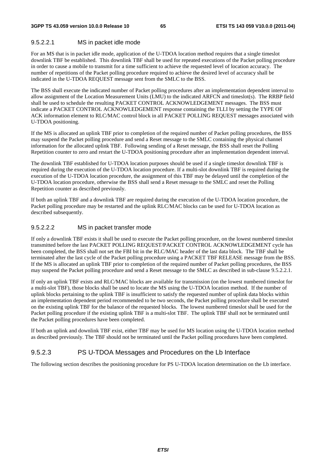#### 9.5.2.2.1 MS in packet idle mode

For an MS that is in packet idle mode, application of the U-TDOA location method requires that a single timeslot downlink TBF be established. This downlink TBF shall be used for repeated executions of the Packet polling procedure in order to cause a mobile to transmit for a time sufficient to achieve the requested level of location accuracy. The number of repetitions of the Packet polling procedure required to achieve the desired level of accuracy shall be indicated in the U-TDOA REQUEST message sent from the SMLC to the BSS.

The BSS shall execute the indicated number of Packet polling procedures after an implementation dependent interval to allow assignment of the Location Measurement Units (LMU) to the indicated ARFCN and timeslot(s). The RRBP field shall be used to schedule the resulting PACKET CONTROL ACKNOWLEDGEMENT messages. The BSS must indicate a PACKET CONTROL ACKNOWLEDGEMENT response containing the TLLI by setting the TYPE OF ACK information element to RLC/MAC control block in all PACKET POLLING REQUEST messages associated with U-TDOA positioning.

If the MS is allocated an uplink TBF prior to completion of the required number of Packet polling procedures, the BSS may suspend the Packet polling procedure and send a Reset message to the SMLC containing the physical channel information for the allocated uplink TBF. Following sending of a Reset message, the BSS shall reset the Polling Repetition counter to zero and restart the U-TDOA positioning procedure after an implementation dependent interval.

The downlink TBF established for U-TDOA location purposes should be used if a single timeslot downlink TBF is required during the execution of the U-TDOA location procedure. If a multi-slot downlink TBF is required during the execution of the U-TDOA location procedure, the assignment of this TBF may be delayed until the completion of the U-TDOA location procedure, otherwise the BSS shall send a Reset message to the SMLC and reset the Polling Repetition counter as described previously.

If both an uplink TBF and a downlink TBF are required during the execution of the U-TDOA location procedure, the Packet polling procedure may be restarted and the uplink RLC/MAC blocks can be used for U-TDOA location as described subsequently.

#### 9.5.2.2.2 MS in packet transfer mode

If only a downlink TBF exists it shall be used to execute the Packet polling procedure, on the lowest numbered timeslot transmitted before the last PACKET POLLING REQUEST/PACKET CONTROL ACKNOWLEDGEMENT cycle has been completed, the BSS shall not set the FBI bit in the RLC/MAC header of the last data block. The TBF shall be terminated after the last cycle of the Packet polling procedure using a PACKET TBF RELEASE message from the BSS. If the MS is allocated an uplink TBF prior to completion of the required number of Packet polling procedures, the BSS may suspend the Packet polling procedure and send a Reset message to the SMLC as described in sub-clause 9.5.2.2.1.

If only an uplink TBF exists and RLC/MAC blocks are available for transmission (on the lowest numbered timeslot for a multi-slot TBF), those blocks shall be used to locate the MS using the U-TDOA location method. If the number of uplink blocks pertaining to the uplink TBF is insufficient to satisfy the requested number of uplink data blocks within an implementation dependent period recommended to be two seconds, the Packet polling procedure shall be executed on the existing uplink TBF for the balance of the requested blocks. The lowest numbered timeslot shall be used for the Packet polling procedure if the existing uplink TBF is a multi-slot TBF. The uplink TBF shall not be terminated until the Packet polling procedures have been completed.

If both an uplink and downlink TBF exist, either TBF may be used for MS location using the U-TDOA location method as described previously. The TBF should not be terminated until the Packet polling procedures have been completed.

#### 9.5.2.3 PS U-TDOA Messages and Procedures on the Lb Interface

The following section describes the positioning procedure for PS U-TDOA location determination on the Lb interface.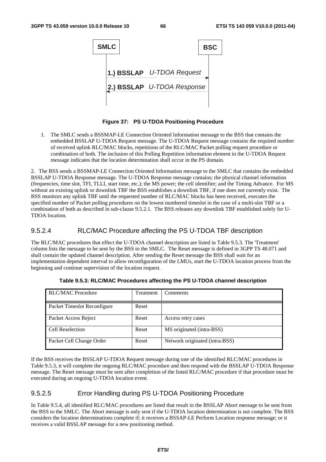

**Figure 37: PS U-TDOA Positioning Procedure** 

1. The SMLC sends a BSSMAP-LE Connection Oriented Information message to the BSS that contains the embedded BSSLAP U-TDOA Request message. The U-TDOA Request message contains the required number of received uplink RLC/MAC blocks, repetitions of the RLC/MAC Packet polling request procedure or combination of both. The inclusion of this Polling Repetition information element in the U-TDOA Request message indicates that the location determination shall occur in the PS domain.

2. The BSS sends a BSSMAP-LE Connection Oriented Information message to the SMLC that contains the embedded BSSLAP U-TDOA Response message. The U-TDOA Response message contains; the physical channel information (frequencies, time slot, TFI, TLLI, start time, etc.); the MS power; the cell identifier; and the Timing Advance. For MS without an existing uplink or downlink TBF the BSS establishes a downlink TBF, if one does not currently exist. The BSS monitors any uplink TBF until the requested number of RLC/MAC blocks has been received, executes the specified number of Packet polling procedures on the lowest numbered timeslot in the case of a multi-slot TBF or a combination of both as described in sub-clause 9.5.2.1. The BSS releases any downlink TBF established solely for U-TDOA location.

### 9.5.2.4 RLC/MAC Procedure affecting the PS U-TDOA TBF description

The RLC/MAC procedures that effect the U-TDOA channel description are listed in Table 9.5.3. The 'Treatment' column lists the message to be sent by the BSS to the SMLC. The Reset message is defined in 3GPP TS 48.071 and shall contain the updated channel description. After sending the Reset message the BSS shall wait for an implementation dependent interval to allow reconfiguration of the LMUs, start the U-TDOA location process from the beginning and continue supervision of the location request.

| <b>RLC/MAC Procedure</b>    | Treatment | Comments                       |
|-----------------------------|-----------|--------------------------------|
| Packet Timeslot Reconfigure | Reset     |                                |
| Packet Access Reject        | Reset     | Access retry cases             |
| Cell Reselection            | Reset     | MS originated (intra-BSS)      |
| Packet Cell Change Order    | Reset     | Network originated (intra-BSS) |

**Table 9.5.3: RLC/MAC Procedures affecting the PS U-TDOA channel description** 

If the BSS receives the BSSLAP U-TDOA Request message during one of the identified RLC/MAC procedures in Table 9.5.3, it will complete the ongoing RLC/MAC procedure and then respond with the BSSLAP U-TDOA Response message. The Reset message must be sent after completion of the listed RLC/MAC procedure if that procedure must be executed during an ongoing U-TDOA location event.

### 9.5.2.5 Error Handling during PS U-TDOA Positioning Procedure

In Table 9.5.4, all identified RLC/MAC procedures are listed that result in the BSSLAP Abort message to be sent from the BSS to the SMLC. The Abort message is only sent if the U-TDOA location determination is not complete. The BSS considers the location determinations complete if; it receives a BSSAP-LE Perform Location response message; or it receives a valid BSSLAP message for a new positioning method.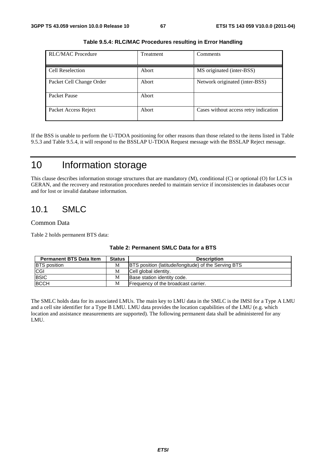| <b>RLC/MAC Procedure</b> | <b>Treatment</b> | Comments                              |
|--------------------------|------------------|---------------------------------------|
|                          |                  |                                       |
|                          |                  |                                       |
|                          |                  |                                       |
| <b>Cell Reselection</b>  | Abort            | MS originated (inter-BSS)             |
|                          |                  |                                       |
|                          |                  |                                       |
| Packet Cell Change Order | Abort            | Network originated (inter-BSS)        |
|                          |                  |                                       |
|                          |                  |                                       |
|                          |                  |                                       |
| Packet Pause             | Abort            |                                       |
|                          |                  |                                       |
|                          |                  |                                       |
| Packet Access Reject     | Abort            | Cases without access retry indication |
|                          |                  |                                       |
|                          |                  |                                       |
|                          |                  |                                       |

**Table 9.5.4: RLC/MAC Procedures resulting in Error Handling** 

If the BSS is unable to perform the U-TDOA positioning for other reasons than those related to the items listed in Table 9.5.3 and Table 9.5.4, it will respond to the BSSLAP U-TDOA Request message with the BSSLAP Reject message.

# 10 Information storage

This clause describes information storage structures that are mandatory (M), conditional (C) or optional (O) for LCS in GERAN, and the recovery and restoration procedures needed to maintain service if inconsistencies in databases occur and for lost or invalid database information.

# 10.1 SMLC

#### Common Data

Table 2 holds permanent BTS data:

| <b>Permanent BTS Data Item</b> | <b>Status</b> | <b>Description</b>                                          |
|--------------------------------|---------------|-------------------------------------------------------------|
| <b>BTS</b> position            | М             | <b>BTS</b> position (latitude/longitude) of the Serving BTS |
| <b>CGI</b>                     | М             | Cell global identity.                                       |
| <b>BSIC</b>                    | М             | Base station identity code.                                 |
| <b>BCCH</b>                    | M             | Frequency of the broadcast carrier.                         |

#### **Table 2: Permanent SMLC Data for a BTS**

The SMLC holds data for its associated LMUs. The main key to LMU data in the SMLC is the IMSI for a Type A LMU and a cell site identifier for a Type B LMU. LMU data provides the location capabilities of the LMU (e.g. which location and assistance measurements are supported). The following permanent data shall be administered for any LMU.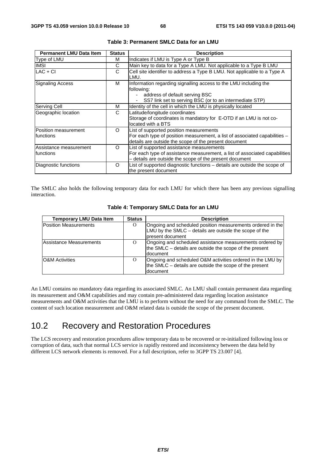| <b>Permanent LMU Data Item</b>       | <b>Status</b> | <b>Description</b>                                                                                                                                                                 |
|--------------------------------------|---------------|------------------------------------------------------------------------------------------------------------------------------------------------------------------------------------|
| Type of LMU                          | м             | Indicates if LMU is Type A or Type B                                                                                                                                               |
| <b>IMSI</b>                          | C             | Main key to data for a Type A LMU. Not applicable to a Type B LMU                                                                                                                  |
| $LAC + CI$                           | C             | Cell site identifier to address a Type B LMU. Not applicable to a Type A<br>LMU.                                                                                                   |
| <b>Signaling Access</b>              | м             | Information regarding signalling access to the LMU including the<br>following:<br>address of default serving BSC<br>SS7 link set to serving BSC (or to an intermediate STP)        |
| Serving Cell                         | м             | Identity of the cell in which the LMU is physically located                                                                                                                        |
| Geographic location                  | C             | Latitude/longitude coordinates<br>Storage of coordinates is mandatory for E-OTD if an LMU is not co-<br>located with a BTS                                                         |
| Position measurement<br>Ifunctions   | O             | List of supported position measurements<br>For each type of position measurement, a list of associated capabilities –<br>details are outside the scope of the present document     |
| Assistance measurement<br>Ifunctions | $\Omega$      | List of supported assistance measurements<br>For each type of assistance measurement, a list of associated capabilities<br>- details are outside the scope of the present document |
| Diagnostic functions                 | O             | List of supported diagnostic functions - details are outside the scope of<br>the present document                                                                                  |

| Table 3: Permanent SMLC Data for an LMU |  |  |  |
|-----------------------------------------|--|--|--|
|-----------------------------------------|--|--|--|

The SMLC also holds the following temporary data for each LMU for which there has been any previous signalling interaction.

| <b>Temporary LMU Data Item</b> | <b>Status</b> | <b>Description</b>                                                                                                                       |
|--------------------------------|---------------|------------------------------------------------------------------------------------------------------------------------------------------|
| <b>Position Measurements</b>   | O             | Ongoing and scheduled position measurements ordered in the<br>LMU by the SMLC – details are outside the scope of the<br>present document |
| Assistance Measurements        | $\Omega$      | Ongoing and scheduled assistance measurements ordered by<br>the SMLC – details are outside the scope of the present<br>document          |
| <b>O&amp;M</b> Activities      | $\Omega$      | Ongoing and scheduled O&M activities ordered in the LMU by<br>the SMLC – details are outside the scope of the present<br>document        |

| Table 4: Temporary SMLC Data for an LMU |  |  |  |  |  |
|-----------------------------------------|--|--|--|--|--|
|-----------------------------------------|--|--|--|--|--|

An LMU contains no mandatory data regarding its associated SMLC. An LMU shall contain permanent data regarding its measurement and O&M capabilities and may contain pre-administered data regarding location assistance measurements and O&M activities that the LMU is to perform without the need for any command from the SMLC. The content of such location measurement and O&M related data is outside the scope of the present document.

# 10.2 Recovery and Restoration Procedures

The LCS recovery and restoration procedures allow temporary data to be recovered or re-initialized following loss or corruption of data, such that normal LCS service is rapidly restored and inconsistency between the data held by different LCS network elements is removed. For a full description, refer to 3GPP TS 23.007 [4].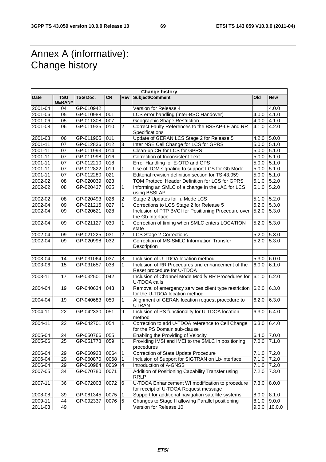# Annex A (informative): Change history

r

|             | <b>Change history</b>       |                 |            |                  |                                                                                          |                       |                    |
|-------------|-----------------------------|-----------------|------------|------------------|------------------------------------------------------------------------------------------|-----------------------|--------------------|
| Date        | <b>TSG</b><br><b>GERAN#</b> | <b>TSG Doc.</b> | <b>CR</b>  | Rev              | <b>Subject/Comment</b>                                                                   | Old                   | <b>New</b>         |
| 2001-04     | 04                          | GP-010942       |            |                  | Version for Release 4                                                                    |                       | 4.0.0              |
| 2001-06     | 05                          | GP-010988       | 001        |                  | LCS error handling (Inter-BSC Handover)<br>4.0.0                                         |                       | 4.1.0              |
| 2001-06     | 05                          | GP-011308       | 007        |                  | Geographic Shape Restriction<br>4.0.0                                                    |                       | 4.1.0              |
| 2001-08     | 06                          | GP-011935       | 010        | $\overline{2}$   | Correct Faulty References to the BSSAP-LE and RR<br>Specifications                       | 4.1.0                 | 4.2.0              |
| 2001-08     | 06                          | GP-011905       | 011        |                  | Update of GERAN LCS Stage 2 for Release 5                                                | 4.2.0                 | 5.0.0              |
| 2001-11     | 07                          | GP-012836       | 012        | 3                | Inter NSE Cell Change for LCS for GPRS                                                   | 5.0.0                 | 5.1.0              |
| $2001 - 11$ | 07                          | GP-011993       | 014        |                  | Clean-up CR for LCS for GPRS                                                             | 5.0.0                 | $\overline{5.1.0}$ |
| $2001 - 11$ |                             |                 |            |                  | Correction of Inconsistent Text                                                          |                       |                    |
|             | 07                          | GP-011998       | 016        |                  | Error Handling for E-OTD and GPS                                                         | 5.0.0                 | 5.1.0<br>5.1.0     |
| 2001-11     | 07<br>07                    | GP-012210       | 018<br>019 | 1                | Use of TOM signaling to support LCS for Gb Mode                                          | 5.0.0                 | 5.1.0              |
| 2001-11     |                             | GP-012822       |            |                  |                                                                                          | 5.0.0                 |                    |
| $2001 - 11$ | 07                          | GP-012280       | 021        |                  | Editorial revision definition section for TS 43.059                                      | 5.0.0                 | 5.1.0              |
| 2002-02     | 08                          | GP-020039       | 023        |                  | TOM Protocol Header Definition for LCS for GPRS                                          | 5.1.0                 | 5.2.0              |
| 2002-02     | 08                          | GP-020437       | 025        | 1                | Informing an SMLC of a change in the LAC for LCS<br>using BSSLAP                         | 5.1.0                 | 5.2.0              |
| 2002-02     | 08                          | GP-020493       | 026        | $\boldsymbol{2}$ | Stage 2 Updates for Iu Mode LCS                                                          | 5.1.0                 | 5.2.0              |
| 2002-04     | 09                          | GP-021215       | 027        | $\mathbf{1}$     | Corrections to LCS Stage 2 for Release 5                                                 | 5.2.0                 | 5.3.0              |
| 2002-04     | 09                          | GP-020621       | 028        |                  | Inclusion of PTP BVCI for Positioning Procedure over<br>the Gb Interface                 | 5.2.0                 | 5.3.0              |
| 2002-04     | 09                          | GP-021127       | 030        | $\mathbf{1}$     | Correction of timing when SMLC enters LOCATION<br>state                                  | 5.2.0                 | 5.3.0              |
| 2002-04     | 09                          | GP-021225       | 031        | $\overline{2}$   | <b>LCS Stage 2 Corrections</b>                                                           | 5.2.0                 | 5.3.0              |
| 2002-04     | 09                          | GP-020998       | 032        |                  | Correction of MS-SMLC Information Transfer<br>Description                                | 5.2.0                 | 5.3.0              |
| 2003-04     | 14                          | GP-031064       | 037        | 8                | Inclusion of U-TDOA location method                                                      | 5.3.0                 | 6.0.0              |
| 2003-06     | 15                          | GP-031657       | 038        | $\mathbf{1}$     | Inclusion of RR Procedures and enhancement of the<br>Reset procedure for U-TDOA          | 6.0.0                 | 6.1.0              |
| 2003-11     | 17                          | GP-032501       | 042        |                  | Inclusion of Channel Mode Modify RR Procedures for<br>U-TDOA calls                       | 6.1.0                 | 6.2.0              |
| 2004-04     | 19                          | GP-040634       | 043        | 3                | Removal of emergency services client type restriction<br>for the U-TDOA location method  | 6.2.0                 | 6.3.0              |
| 2004-04     | 19                          | GP-040683       | 050        | $\mathbf{1}$     | Alignment of GERAN location request procedure to<br><b>UTRAN</b>                         | 6.2.0                 | 6.3.0              |
| 2004-11     | 22                          | GP-042330       | 051        | 9                | Inclusion of PS functionality for U-TDOA location<br>method                              | 6.3.0                 | 6.4.0              |
| 2004-11     | 22                          | GP-042701       | 054        | $\mathbf{1}$     | Correction to add U-TDOA reference to Cell Change<br>for the PS Domain sub-clause        | 6.3.0                 | 6.4.0              |
| 2005-04     | 24                          | GP-050766 055   |            |                  | Enabling the Providing of Velocity                                                       | 6.4.0 $\boxed{7.0.0}$ |                    |
| 2005-06     | 25                          | GP-051778       | 059        | $\mathbf{1}$     | Providing IMSI and IMEI to the SMLC in positioning<br>procedures                         | 7.0.0                 | 7.1.0              |
| 2006-04     | 29                          | GP-060928       | 0064       | $\overline{1}$   | Correction of State Update Procedure                                                     | 7.1.0                 | 7.2.0              |
| 2006-04     | 29                          | GP-060870       | 0068       | 1                | Inclusion of Support for SIGTRAN on Lb-interface                                         | 7.1.0                 | 7.2.0              |
| 2006-04     | 29                          | GP-060984       | 0069       | $\overline{4}$   | Introduction of A-GNSS                                                                   | 7.1.0                 | 7.2.0              |
| 2007-05     | 34                          | GP-070780       | 0071       |                  | Addition of Positioning Capability Transfer using<br>RRLP                                | 7.2.0                 | 7.3.0              |
| 2007-11     | 36                          | GP-072003       | 0072       | $\,$ 6           | U-TDOA Enhancement WI modification to procedure<br>for receipt of U-TDOA Request message | 7.3.0                 | 8.0.0              |
| 2008-08     | 39                          | GP-081345       | 0075       | $\overline{1}$   | Support for additional navigation satellite systems                                      | 8.0.0                 | 8.1.0              |
| 2009-11     | 44                          | GP-092337       | 0076       | 5                | Changes to Stage II allowing Parallel positioning                                        | 8.1.0                 | 9.0.0              |
| 2011-03     | 49                          |                 |            |                  | Version for Release 10                                                                   | 9.0.0                 | 10.0.0             |